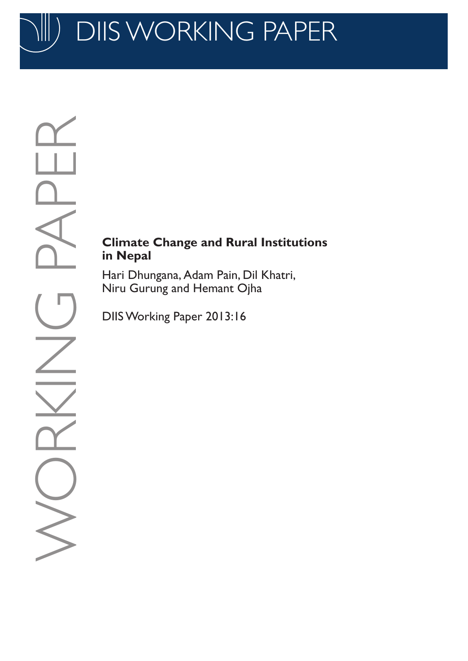DIIS WORKING PAPER

# **Climate Change and Rural Institutions in Nepal**

Hari Dhungana, Adam Pain, Dil Khatri, Niru Gurung and Hemant Ojha

DIIS Working Paper 2013:16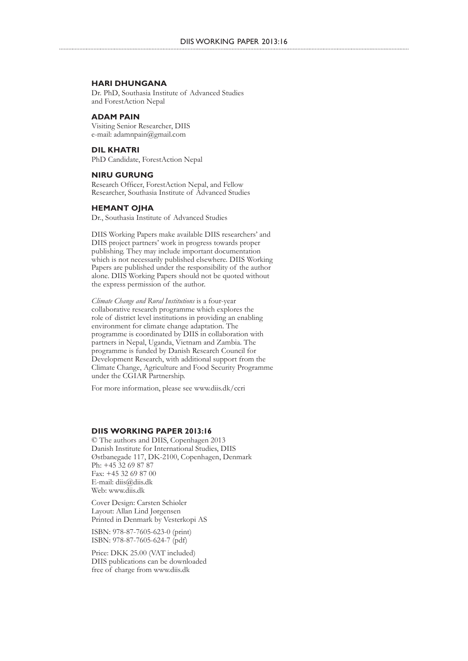#### **HARI DHUNGANA**

Dr. PhD, Southasia Institute of Advanced Studies and ForestAction Nepal

#### **ADAM PAIN**

Visiting Senior Researcher, DIIS e-mail: adamnpain@gmail.com

**DIL KHATRI** PhD Candidate, ForestAction Nepal

#### **NIRU GURUNG**

Research Officer, ForestAction Nepal, and Fellow Researcher, Southasia Institute of Advanced Studies

#### **HEMANT OJHA**

Dr., Southasia Institute of Advanced Studies

DIIS Working Papers make available DIIS researchers' and DIIS project partners' work in progress towards proper publishing. They may include important documentation which is not necessarily published elsewhere. DIIS Working Papers are published under the responsibility of the author alone. DIIS Working Papers should not be quoted without the express permission of the author.

*Climate Change and Rural Institutions* is a four-year collaborative research programme which explores the role of district level institutions in providing an enabling environment for climate change adaptation. The programme is coordinated by DIIS in collaboration with partners in Nepal, Uganda, Vietnam and Zambia. The programme is funded by Danish Research Council for Development Research, with additional support from the Climate Change, Agriculture and Food Security Programme under the CGIAR Partnership.

For more information, please see www.diis.dk/ccri

#### **DIIS WORKING PAPER 2013:16**

© The authors and DIIS, Copenhagen 2013 Danish Institute for International Studies, DIIS Østbanegade 117, DK-2100, Copenhagen, Denmark Ph: +45 32 69 87 87 Fax: +45 32 69 87 00 E-mail: diis@diis.dk Web: www.diis.dk

Cover Design: Carsten Schiøler Layout: Allan Lind Jørgensen Printed in Denmark by Vesterkopi AS

ISBN: 978-87-7605-623-0 (print) ISBN: 978-87-7605-624-7 (pdf)

Price: DKK 25.00 (VAT included) DIIS publications can be downloaded free of charge from www.diis.dk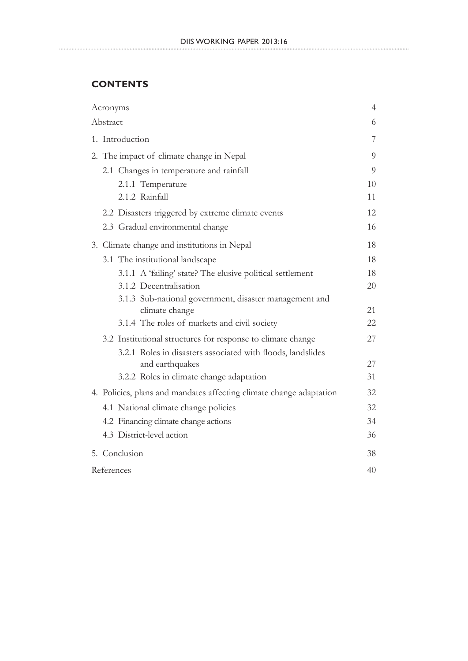# **CONTENTS**

| Acronyms                                                            | $\overline{4}$ |  |  |  |
|---------------------------------------------------------------------|----------------|--|--|--|
| Abstract                                                            | 6              |  |  |  |
| 1. Introduction                                                     |                |  |  |  |
| 2. The impact of climate change in Nepal                            | 9              |  |  |  |
| 2.1 Changes in temperature and rainfall                             | 9              |  |  |  |
| 2.1.1 Temperature                                                   | 10             |  |  |  |
| 2.1.2 Rainfall                                                      | 11             |  |  |  |
| 2.2 Disasters triggered by extreme climate events                   | 12             |  |  |  |
| 2.3 Gradual environmental change                                    | 16             |  |  |  |
| 3. Climate change and institutions in Nepal                         | 18             |  |  |  |
| 3.1 The institutional landscape                                     | 18             |  |  |  |
| 3.1.1 A 'failing' state? The elusive political settlement           | 18             |  |  |  |
| 3.1.2 Decentralisation                                              | 20             |  |  |  |
| 3.1.3 Sub-national government, disaster management and              |                |  |  |  |
| climate change                                                      | 21             |  |  |  |
| 3.1.4 The roles of markets and civil society                        | 22             |  |  |  |
| 3.2 Institutional structures for response to climate change         | 27             |  |  |  |
| 3.2.1 Roles in disasters associated with floods, landslides         |                |  |  |  |
| and earthquakes                                                     | 27             |  |  |  |
| 3.2.2 Roles in climate change adaptation                            | 31             |  |  |  |
| 4. Policies, plans and mandates affecting climate change adaptation | 32             |  |  |  |
| 4.1 National climate change policies                                | 32             |  |  |  |
| 4.2 Financing climate change actions                                | 34             |  |  |  |
| 4.3 District-level action                                           | 36             |  |  |  |
| 5. Conclusion                                                       | 38             |  |  |  |
| References                                                          | 40             |  |  |  |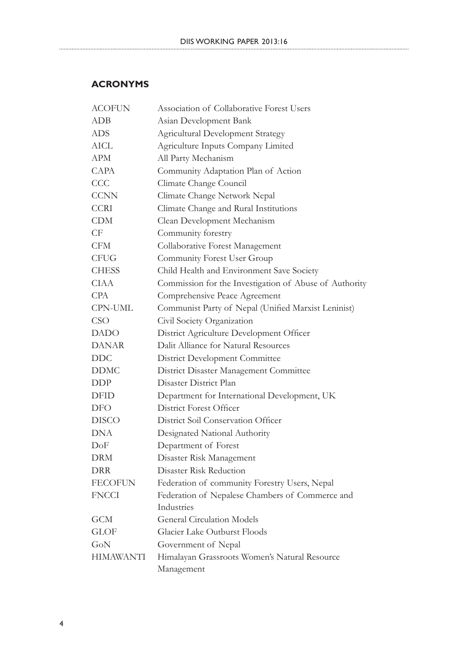# **ACRONYMS**

| <b>ACOFUN</b>    | Association of Collaborative Forest Users                   |
|------------------|-------------------------------------------------------------|
| <b>ADB</b>       | Asian Development Bank                                      |
| ADS              | <b>Agricultural Development Strategy</b>                    |
| AICL             | Agriculture Inputs Company Limited                          |
| <b>APM</b>       | All Party Mechanism                                         |
| <b>CAPA</b>      | Community Adaptation Plan of Action                         |
| <b>CCC</b>       | Climate Change Council                                      |
| <b>CCNN</b>      | Climate Change Network Nepal                                |
| <b>CCRI</b>      | Climate Change and Rural Institutions                       |
| <b>CDM</b>       | Clean Development Mechanism                                 |
| CF               | Community forestry                                          |
| <b>CFM</b>       | Collaborative Forest Management                             |
| <b>CFUG</b>      | Community Forest User Group                                 |
| <b>CHESS</b>     | Child Health and Environment Save Society                   |
| <b>CIAA</b>      | Commission for the Investigation of Abuse of Authority      |
| <b>CPA</b>       | Comprehensive Peace Agreement                               |
| CPN-UML          | Communist Party of Nepal (Unified Marxist Leninist)         |
| <b>CSO</b>       | Civil Society Organization                                  |
| <b>DADO</b>      | District Agriculture Development Officer                    |
| <b>DANAR</b>     | Dalit Alliance for Natural Resources                        |
| <b>DDC</b>       | <b>District Development Committee</b>                       |
| <b>DDMC</b>      | District Disaster Management Committee                      |
| DDP              | Disaster District Plan                                      |
| DFID             | Department for International Development, UK                |
| DFO              | District Forest Officer                                     |
| <b>DISCO</b>     | District Soil Conservation Officer                          |
| <b>DNA</b>       | Designated National Authority                               |
| DoF              | Department of Forest                                        |
| <b>DRM</b>       | Disaster Risk Management                                    |
| <b>DRR</b>       | Disaster Risk Reduction                                     |
| <b>FECOFUN</b>   | Federation of community Forestry Users, Nepal               |
| <b>FNCCI</b>     | Federation of Nepalese Chambers of Commerce and             |
|                  | Industries                                                  |
| <b>GCM</b>       | <b>General Circulation Models</b>                           |
| <b>GLOF</b>      | Glacier Lake Outburst Floods                                |
| GoN              | Government of Nepal                                         |
| <b>HIMAWANTI</b> | Himalayan Grassroots Women's Natural Resource<br>Management |
|                  |                                                             |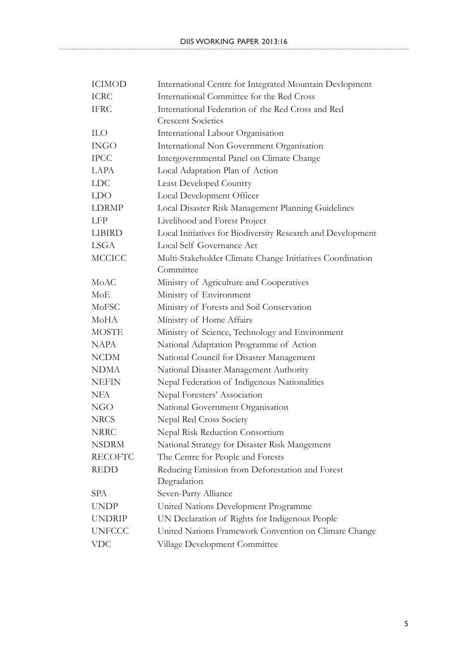| <b>ICIMOD</b>  | International Centre for Integrated Mountain Devlopment     |
|----------------|-------------------------------------------------------------|
| <b>ICRC</b>    | International Committee for the Red Cross                   |
| <b>IFRC</b>    | International Federation of the Red Cross and Red           |
|                | <b>Crescent Societies</b>                                   |
| <b>ILO</b>     | International Labour Organisation                           |
| <b>INGO</b>    | International Non Government Organisation                   |
| <b>IPCC</b>    | Intergovernmental Panel on Climate Change                   |
| <b>LAPA</b>    | Local Adaptation Plan of Action                             |
| <b>LDC</b>     | <b>Least Developed Country</b>                              |
| <b>LDO</b>     | Local Development Officer                                   |
| <b>LDRMP</b>   | Local Disaster Risk Management Planning Guidelines          |
| <b>LFP</b>     | Livelihood and Forest Project                               |
| <b>LIBIRD</b>  | Local Initiatives for Biodiversity Research and Development |
| <b>LSGA</b>    | Local Self Governance Act                                   |
| <b>MCCICC</b>  | Multi-Stakeholder Climate Change Initiatives Coordination   |
|                | Committee                                                   |
| MoAC           | Ministry of Agriculture and Cooperatives                    |
| MoE            | Ministry of Environment                                     |
| MoFSC          | Ministry of Forests and Soil Conservation                   |
| MoHA           | Ministry of Home Affairs                                    |
| <b>MOSTE</b>   | Ministry of Science, Technology and Environment             |
| <b>NAPA</b>    | National Adaptation Programme of Action                     |
| <b>NCDM</b>    | National Council for Disaster Management                    |
| <b>NDMA</b>    | National Disaster Management Authority                      |
| <b>NEFIN</b>   | Nepal Federation of Indigenous Nationalities                |
| <b>NFA</b>     | Nepal Foresters' Association                                |
| NGO            | National Government Organisation                            |
| <b>NRCS</b>    | Nepal Red Cross Society                                     |
| <b>NRRC</b>    | Nepal Risk Reduction Consortium                             |
| <b>NSDRM</b>   | National Strategy for Disaster Risk Mangement               |
| <b>RECOFTC</b> | The Centre for People and Forests                           |
| <b>REDD</b>    | Reducing Emission from Deforestation and Forest             |
|                | Degradation                                                 |
| SPA            | Seven-Party Alliance                                        |
| <b>UNDP</b>    | United Nations Development Programme                        |
| <b>UNDRIP</b>  | UN Declaration of Rights for Indigenous People              |
| <b>UNFCCC</b>  | United Nations Framework Convention on Climate Change       |
| <b>VDC</b>     | Village Development Committee                               |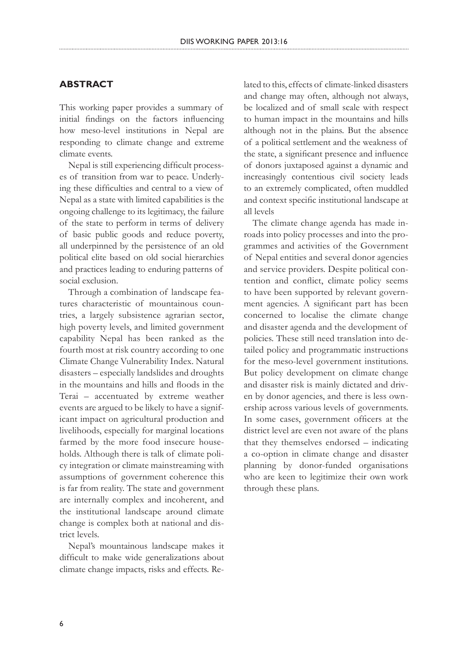### **ABSTRACT**

This working paper provides a summary of initial findings on the factors influencing how meso-level institutions in Nepal are responding to climate change and extreme climate events.

Nepal is still experiencing difficult processes of transition from war to peace. Underlying these difficulties and central to a view of Nepal as a state with limited capabilities is the ongoing challenge to its legitimacy, the failure of the state to perform in terms of delivery of basic public goods and reduce poverty, all underpinned by the persistence of an old political elite based on old social hierarchies and practices leading to enduring patterns of social exclusion.

Through a combination of landscape features characteristic of mountainous countries, a largely subsistence agrarian sector, high poverty levels, and limited government capability Nepal has been ranked as the fourth most at risk country according to one Climate Change Vulnerability Index. Natural disasters – especially landslides and droughts in the mountains and hills and floods in the Terai – accentuated by extreme weather events are argued to be likely to have a significant impact on agricultural production and livelihoods, especially for marginal locations farmed by the more food insecure households. Although there is talk of climate policy integration or climate mainstreaming with assumptions of government coherence this is far from reality. The state and government are internally complex and incoherent, and the institutional landscape around climate change is complex both at national and district levels.

Nepal's mountainous landscape makes it difficult to make wide generalizations about climate change impacts, risks and effects. Related to this, effects of climate-linked disasters and change may often, although not always, be localized and of small scale with respect to human impact in the mountains and hills although not in the plains. But the absence of a political settlement and the weakness of the state, a significant presence and influence of donors juxtaposed against a dynamic and increasingly contentious civil society leads to an extremely complicated, often muddled and context specific institutional landscape at all levels

The climate change agenda has made inroads into policy processes and into the programmes and activities of the Government of Nepal entities and several donor agencies and service providers. Despite political contention and conflict, climate policy seems to have been supported by relevant government agencies. A significant part has been concerned to localise the climate change and disaster agenda and the development of policies. These still need translation into detailed policy and programmatic instructions for the meso-level government institutions. But policy development on climate change and disaster risk is mainly dictated and driven by donor agencies, and there is less ownership across various levels of governments. In some cases, government officers at the district level are even not aware of the plans that they themselves endorsed – indicating a co-option in climate change and disaster planning by donor-funded organisations who are keen to legitimize their own work through these plans.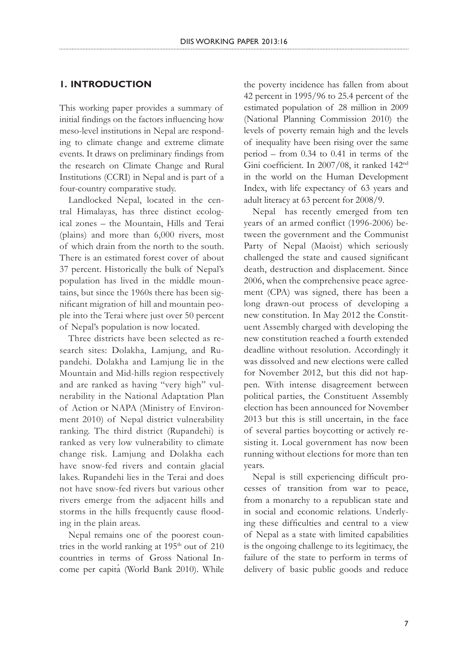## **1. INTRODUCTION**

This working paper provides a summary of initial findings on the factors influencing how meso-level institutions in Nepal are responding to climate change and extreme climate events. It draws on preliminary findings from the research on Climate Change and Rural Institutions (CCRI) in Nepal and is part of a four-country comparative study.

Landlocked Nepal, located in the central Himalayas, has three distinct ecological zones – the Mountain, Hills and Terai (plains) and more than 6,000 rivers, most of which drain from the north to the south. There is an estimated forest cover of about 37 percent. Historically the bulk of Nepal's population has lived in the middle mountains, but since the 1960s there has been significant migration of hill and mountain people into the Terai where just over 50 percent of Nepal's population is now located.

Three districts have been selected as research sites: Dolakha, Lamjung, and Rupandehi. Dolakha and Lamjung lie in the Mountain and Mid-hills region respectively and are ranked as having "very high" vulnerability in the National Adaptation Plan of Action or NAPA (Ministry of Environment 2010) of Nepal district vulnerability ranking. The third district (Rupandehi) is ranked as very low vulnerability to climate change risk. Lamjung and Dolakha each have snow-fed rivers and contain glacial lakes. Rupandehi lies in the Terai and does not have snow-fed rivers but various other rivers emerge from the adjacent hills and storms in the hills frequently cause flooding in the plain areas.

Nepal remains one of the poorest countries in the world ranking at 195<sup>th</sup> out of 210 countries in terms of Gross National Income per capita (World Bank 2010). While the poverty incidence has fallen from about 42 percent in 1995/96 to 25.4 percent of the estimated population of 28 million in 2009 (National Planning Commission 2010) the levels of poverty remain high and the levels of inequality have been rising over the same period – from 0.34 to 0.41 in terms of the Gini coefficient. In 2007/08, it ranked 142nd in the world on the Human Development Index, with life expectancy of 63 years and adult literacy at 63 percent for 2008/9.

Nepal has recently emerged from ten years of an armed conflict (1996-2006) between the government and the Communist Party of Nepal (Maoist) which seriously challenged the state and caused significant death, destruction and displacement. Since 2006, when the comprehensive peace agreement (CPA) was signed, there has been a long drawn-out process of developing a new constitution. In May 2012 the Constituent Assembly charged with developing the new constitution reached a fourth extended deadline without resolution. Accordingly it was dissolved and new elections were called for November 2012, but this did not happen. With intense disagreement between political parties, the Constituent Assembly election has been announced for November 2013 but this is still uncertain, in the face of several parties boycotting or actively resisting it. Local government has now been running without elections for more than ten years.

Nepal is still experiencing difficult processes of transition from war to peace, from a monarchy to a republican state and in social and economic relations. Underlying these difficulties and central to a view of Nepal as a state with limited capabilities is the ongoing challenge to its legitimacy, the failure of the state to perform in terms of delivery of basic public goods and reduce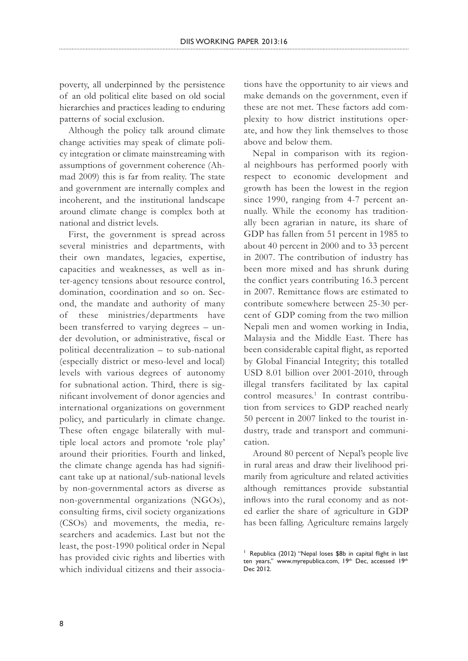DIIS WORKING PAPER 2013:16

poverty, all underpinned by the persistence of an old political elite based on old social hierarchies and practices leading to enduring patterns of social exclusion.

Although the policy talk around climate change activities may speak of climate policy integration or climate mainstreaming with assumptions of government coherence (Ahmad 2009) this is far from reality. The state and government are internally complex and incoherent, and the institutional landscape around climate change is complex both at national and district levels.

First, the government is spread across several ministries and departments, with their own mandates, legacies, expertise, capacities and weaknesses, as well as inter-agency tensions about resource control, domination, coordination and so on. Second, the mandate and authority of many of these ministries/departments have been transferred to varying degrees – under devolution, or administrative, fiscal or political decentralization – to sub-national (especially district or meso-level and local) levels with various degrees of autonomy for subnational action. Third, there is significant involvement of donor agencies and international organizations on government policy, and particularly in climate change. These often engage bilaterally with multiple local actors and promote 'role play' around their priorities. Fourth and linked, the climate change agenda has had significant take up at national/sub-national levels by non-governmental actors as diverse as non-governmental organizations (NGOs), consulting firms, civil society organizations (CSOs) and movements, the media, researchers and academics. Last but not the least, the post-1990 political order in Nepal has provided civic rights and liberties with which individual citizens and their associations have the opportunity to air views and make demands on the government, even if these are not met. These factors add complexity to how district institutions operate, and how they link themselves to those above and below them.

Nepal in comparison with its regional neighbours has performed poorly with respect to economic development and growth has been the lowest in the region since 1990, ranging from 4-7 percent annually. While the economy has traditionally been agrarian in nature, its share of GDP has fallen from 51 percent in 1985 to about 40 percent in 2000 and to 33 percent in 2007. The contribution of industry has been more mixed and has shrunk during the conflict years contributing 16.3 percent in 2007. Remittance flows are estimated to contribute somewhere between 25-30 percent of GDP coming from the two million Nepali men and women working in India, Malaysia and the Middle East. There has been considerable capital flight, as reported by Global Financial Integrity; this totalled USD 8.01 billion over 2001-2010, through illegal transfers facilitated by lax capital control measures.<sup>1</sup> In contrast contribution from services to GDP reached nearly 50 percent in 2007 linked to the tourist industry, trade and transport and communication.

Around 80 percent of Nepal's people live in rural areas and draw their livelihood primarily from agriculture and related activities although remittances provide substantial inflows into the rural economy and as noted earlier the share of agriculture in GDP has been falling. Agriculture remains largely

<sup>&</sup>lt;sup>1</sup> Republica (2012) "Nepal loses \$8b in capital flight in last ten years," www.myrepublica.com, 19<sup>th</sup> Dec, accessed 19<sup>th</sup> Dec 2012.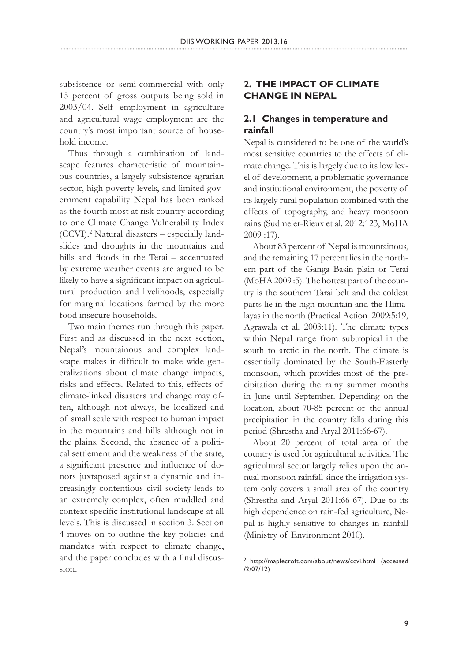subsistence or semi-commercial with only 15 percent of gross outputs being sold in 2003/04. Self employment in agriculture and agricultural wage employment are the country's most important source of household income.

Thus through a combination of landscape features characteristic of mountainous countries, a largely subsistence agrarian sector, high poverty levels, and limited government capability Nepal has been ranked as the fourth most at risk country according to one Climate Change Vulnerability Index (CCVI).2 Natural disasters – especially landslides and droughts in the mountains and hills and floods in the Terai – accentuated by extreme weather events are argued to be likely to have a significant impact on agricultural production and livelihoods, especially for marginal locations farmed by the more food insecure households.

Two main themes run through this paper. First and as discussed in the next section, Nepal's mountainous and complex landscape makes it difficult to make wide generalizations about climate change impacts, risks and effects. Related to this, effects of climate-linked disasters and change may often, although not always, be localized and of small scale with respect to human impact in the mountains and hills although not in the plains. Second, the absence of a political settlement and the weakness of the state, a significant presence and influence of donors juxtaposed against a dynamic and increasingly contentious civil society leads to an extremely complex, often muddled and context specific institutional landscape at all levels. This is discussed in section 3. Section 4 moves on to outline the key policies and mandates with respect to climate change, and the paper concludes with a final discussion.

# **2. THE IMPACT OF CLIMATE CHANGE IN NEPAL**

# **2.1 Changes in temperature and rainfall**

Nepal is considered to be one of the world's most sensitive countries to the effects of climate change. This is largely due to its low level of development, a problematic governance and institutional environment, the poverty of its largely rural population combined with the effects of topography, and heavy monsoon rains (Sudmeier-Rieux et al. 2012:123, MoHA 2009 :17).

About 83 percent of Nepal is mountainous, and the remaining 17 percent lies in the northern part of the Ganga Basin plain or Terai (MoHA 2009 :5). The hottest part of the country is the southern Tarai belt and the coldest parts lie in the high mountain and the Himalayas in the north (Practical Action 2009:5;19, Agrawala et al. 2003:11). The climate types within Nepal range from subtropical in the south to arctic in the north. The climate is essentially dominated by the South-Easterly monsoon, which provides most of the precipitation during the rainy summer months in June until September. Depending on the location, about 70-85 percent of the annual precipitation in the country falls during this period (Shrestha and Aryal 2011:66-67).

About 20 percent of total area of the country is used for agricultural activities. The agricultural sector largely relies upon the annual monsoon rainfall since the irrigation system only covers a small area of the country (Shrestha and Aryal 2011:66-67). Due to its high dependence on rain-fed agriculture, Nepal is highly sensitive to changes in rainfall (Ministry of Environment 2010).

<sup>2</sup> http://maplecroft.com/about/news/ccvi.html (accessed /2/07/12)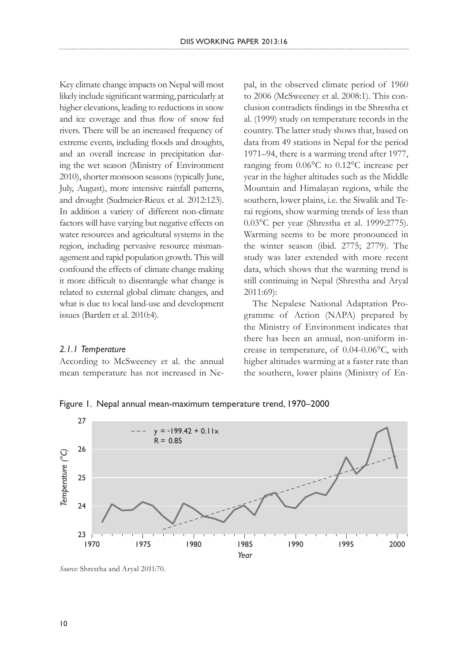Key climate change impacts on Nepal will most likely include significant warming, particularly at higher elevations, leading to reductions in snow and ice coverage and thus flow of snow fed rivers. There will be an increased frequency of extreme events, including floods and droughts, and an overall increase in precipitation during the wet season (Ministry of Environment 2010), shorter monsoon seasons (typically June, July, August), more intensive rainfall patterns, and drought (Sudmeier-Rieux et al. 2012:123). In addition a variety of different non-climate factors will have varying but negative effects on water resources and agricultural systems in the region, including pervasive resource mismanagement and rapid population growth. This will confound the effects of climate change making it more difficult to disentangle what change is related to external global climate changes, and what is due to local land-use and development issues (Bartlett et al. 2010:4).

### *2.1.1 Temperature*

According to McSweeney et al. the annual mean temperature has not increased in Nepal, in the observed climate period of 1960 to 2006 (McSweeney et al. 2008:1). This conclusion contradicts findings in the Shrestha et al. (1999) study on temperature records in the country. The latter study shows that, based on data from 49 stations in Nepal for the period 1971–94, there is a warming trend after 1977, ranging from 0.06°C to 0.12°C increase per year in the higher altitudes such as the Middle Mountain and Himalayan regions, while the southern, lower plains, i.e. the Siwalik and Terai regions, show warming trends of less than 0.03°C per year (Shrestha et al. 1999:2775). Warming seems to be more pronounced in the winter season (ibid. 2775; 2779). The study was later extended with more recent data, which shows that the warming trend is still continuing in Nepal (Shrestha and Aryal 2011:69):

The Nepalese National Adaptation Programme of Action (NAPA) prepared by the Ministry of Environment indicates that there has been an annual, non-uniform increase in temperature, of 0.04-0.06°C, with higher altitudes warming at a faster rate than the southern, lower plains (Ministry of En-

Figure 1. Nepal annual mean-maximum temperature trend, 1970–2000



*Source:* Shrestha and Aryal 2011:70.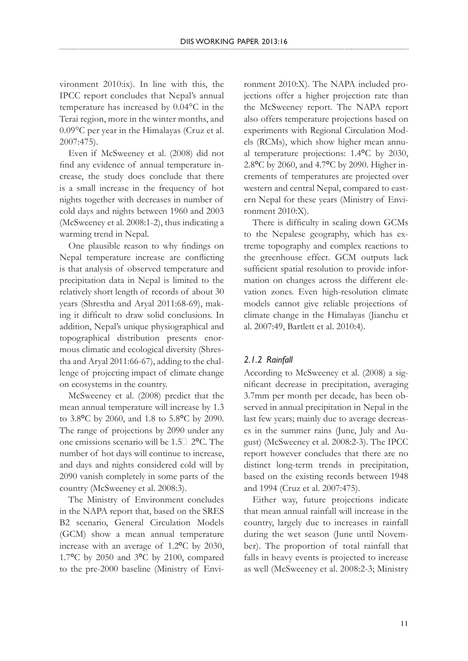vironment 2010:ix). In line with this, the IPCC report concludes that Nepal's annual temperature has increased by 0.04°C in the Terai region, more in the winter months, and 0.09°C per year in the Himalayas (Cruz et al. 2007:475).

Even if McSweeney et al. (2008) did not find any evidence of annual temperature increase, the study does conclude that there is a small increase in the frequency of hot nights together with decreases in number of cold days and nights between 1960 and 2003 (McSweeney et al. 2008:1-2), thus indicating a warming trend in Nepal.

One plausible reason to why findings on Nepal temperature increase are conflicting is that analysis of observed temperature and precipitation data in Nepal is limited to the relatively short length of records of about 30 years (Shrestha and Aryal 2011:68-69), making it difficult to draw solid conclusions. In addition, Nepal's unique physiographical and topographical distribution presents enormous climatic and ecological diversity (Shrestha and Aryal 2011:66-67), adding to the challenge of projecting impact of climate change on ecosystems in the country.

McSweeney et al. (2008) predict that the mean annual temperature will increase by 1.3 to 3.8**°**C by 2060, and 1.8 to 5.8**°**C by 2090. The range of projections by 2090 under any one emissions scenario will be 1.5‐ 2**°**C. The number of hot days will continue to increase, and days and nights considered cold will by 2090 vanish completely in some parts of the country (McSweeney et al. 2008:3).

The Ministry of Environment concludes in the NAPA report that, based on the SRES B2 scenario, General Circulation Models (GCM) show a mean annual temperature increase with an average of 1.2**°**C by 2030, 1.7**°**C by 2050 and 3**°**C by 2100, compared to the pre-2000 baseline (Ministry of Environment 2010:X). The NAPA included projections offer a higher projection rate than the McSweeney report. The NAPA report also offers temperature projections based on experiments with Regional Circulation Models (RCMs), which show higher mean annual temperature projections: 1.4**°**C by 2030, 2.8**°**C by 2060, and 4.7**°**C by 2090. Higher increments of temperatures are projected over western and central Nepal, compared to eastern Nepal for these years (Ministry of Environment 2010:X).

There is difficulty in scaling down GCMs to the Nepalese geography, which has extreme topography and complex reactions to the greenhouse effect. GCM outputs lack sufficient spatial resolution to provide information on changes across the different elevation zones. Even high-resolution climate models cannot give reliable projections of climate change in the Himalayas (Jianchu et al. 2007:49, Bartlett et al. 2010:4).

#### *2.1.2 Rainfall*

According to McSweeney et al. (2008) a significant decrease in precipitation, averaging 3.7mm per month per decade, has been observed in annual precipitation in Nepal in the last few years; mainly due to average decreases in the summer rains (June, July and August) (McSweeney et al. 2008:2-3). The IPCC report however concludes that there are no distinct long-term trends in precipitation, based on the existing records between 1948 and 1994 (Cruz et al. 2007:475).

Either way, future projections indicate that mean annual rainfall will increase in the country, largely due to increases in rainfall during the wet season (June until November). The proportion of total rainfall that falls in heavy events is projected to increase as well (McSweeney et al. 2008:2-3; Ministry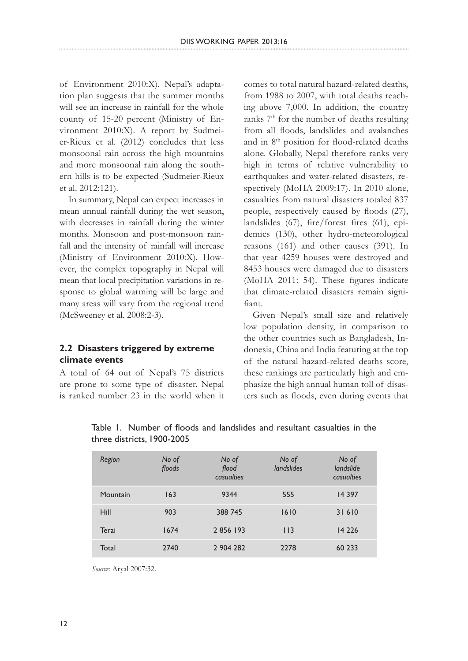of Environment 2010:X). Nepal's adaptation plan suggests that the summer months will see an increase in rainfall for the whole county of 15-20 percent (Ministry of Environment 2010:X). A report by Sudmeier-Rieux et al. (2012) concludes that less monsoonal rain across the high mountains and more monsoonal rain along the southern hills is to be expected (Sudmeier-Rieux et al. 2012:121).

In summary, Nepal can expect increases in mean annual rainfall during the wet season, with decreases in rainfall during the winter months. Monsoon and post-monsoon rainfall and the intensity of rainfall will increase (Ministry of Environment 2010:X). However, the complex topography in Nepal will mean that local precipitation variations in response to global warming will be large and many areas will vary from the regional trend (McSweeney et al. 2008:2-3).

### **2.2 Disasters triggered by extreme climate events**

A total of 64 out of Nepal's 75 districts are prone to some type of disaster. Nepal is ranked number 23 in the world when it comes to total natural hazard-related deaths, from 1988 to 2007, with total deaths reaching above 7,000. In addition, the country ranks 7th for the number of deaths resulting from all floods, landslides and avalanches and in 8th position for flood-related deaths alone. Globally, Nepal therefore ranks very high in terms of relative vulnerability to earthquakes and water-related disasters, respectively (MoHA 2009:17). In 2010 alone, casualties from natural disasters totaled 837 people, respectively caused by floods (27), landslides (67), fire/forest fires (61), epidemics (130), other hydro-meteorological reasons (161) and other causes (391). In that year 4259 houses were destroyed and 8453 houses were damaged due to disasters (MoHA 2011: 54). These figures indicate that climate-related disasters remain signifiant.

Given Nepal's small size and relatively low population density, in comparison to the other countries such as Bangladesh, Indonesia, China and India featuring at the top of the natural hazard-related deaths score, these rankings are particularly high and emphasize the high annual human toll of disasters such as floods, even during events that

| Region   | No of<br>floods | No of<br>flood<br>casualties | No of<br>landslides | No of<br>landslide<br>casualties |
|----------|-----------------|------------------------------|---------------------|----------------------------------|
| Mountain | 163             | 9344                         | 555                 | 14 3 9 7                         |
| Hill     | 903             | 388 745                      | 1610                | 31610                            |
| Terai    | 1674            | 2 856 193                    | $ $   3             | 14 2 2 6                         |
| Total    | 2740            | 2 904 282                    | 2278                | 60 233                           |

Table 1. Number of floods and landslides and resultant casualties in the three districts, 1900-2005

*Source:* Aryal 2007:32.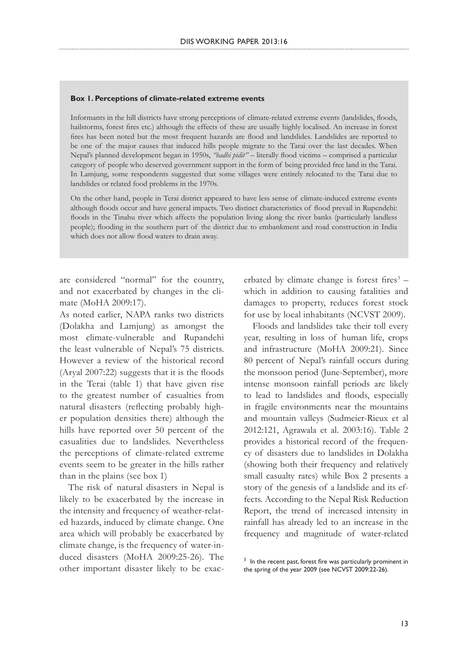#### **Box 1. Perceptions of climate-related extreme events**

Informants in the hill districts have strong perceptions of climate-related extreme events (landslides, floods, hailstorms, forest fires etc.) although the effects of these are usually highly localised. An increase in forest fires has been noted but the most frequent hazards are flood and landslides. Landslides are reported to be one of the major causes that induced hills people migrate to the Tarai over the last decades. When Nepal's planned development began in 1950s, *"badhi pidit"* – literally flood victims – comprised a particular category of people who deserved government support in the form of being provided free land in the Tarai. In Lamjung, some respondents suggested that some villages were entirely relocated to the Tarai due to landslides or related food problems in the 1970s.

On the other hand, people in Terai district appeared to have less sense of climate-induced extreme events although floods occur and have general impacts. Two distinct characteristics of flood prevail in Rupendehi: floods in the Tinahu river which affects the population living along the river banks (particularly landless people); flooding in the southern part of the district due to embankment and road construction in India which does not allow flood waters to drain away.

are considered "normal" for the country, and not exacerbated by changes in the climate (MoHA 2009:17).

As noted earlier, NAPA ranks two districts (Dolakha and Lamjung) as amongst the most climate-vulnerable and Rupandehi the least vulnerable of Nepal's 75 districts. However a review of the historical record (Aryal 2007:22) suggests that it is the floods in the Terai (table 1) that have given rise to the greatest number of casualties from natural disasters (reflecting probably higher population densities there) although the hills have reported over 50 percent of the casualities due to landslides. Nevertheless the perceptions of climate-related extreme events seem to be greater in the hills rather than in the plains (see box 1)

The risk of natural disasters in Nepal is likely to be exacerbated by the increase in the intensity and frequency of weather-related hazards, induced by climate change. One area which will probably be exacerbated by climate change, is the frequency of water-induced disasters (MoHA 2009:25-26). The other important disaster likely to be exac-

erbated by climate change is forest fires $3$ which in addition to causing fatalities and damages to property, reduces forest stock for use by local inhabitants (NCVST 2009).

Floods and landslides take their toll every year, resulting in loss of human life, crops and infrastructure (MoHA 2009:21). Since 80 percent of Nepal's rainfall occurs during the monsoon period (June-September), more intense monsoon rainfall periods are likely to lead to landslides and floods, especially in fragile environments near the mountains and mountain valleys (Sudmeier-Rieux et al 2012:121, Agrawala et al. 2003:16). Table 2 provides a historical record of the frequency of disasters due to landslides in Dolakha (showing both their frequency and relatively small casualty rates) while Box 2 presents a story of the genesis of a landslide and its effects. According to the Nepal Risk Reduction Report, the trend of increased intensity in rainfall has already led to an increase in the frequency and magnitude of water-related

<sup>&</sup>lt;sup>3</sup> In the recent past, forest fire was particularly prominent in the spring of the year 2009 (see NCVST 2009:22-26).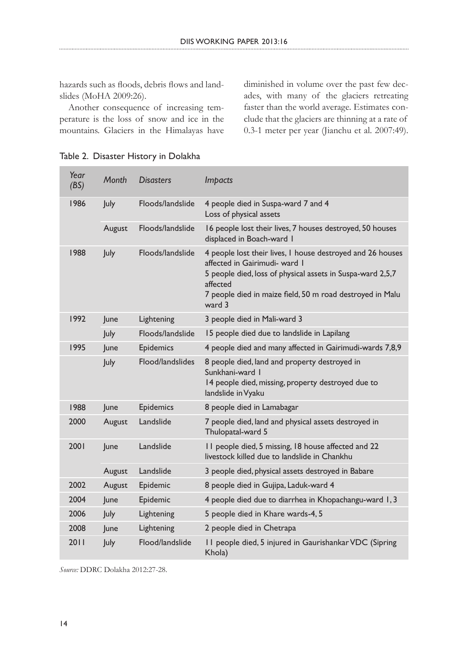hazards such as floods, debris flows and landslides (MoHA 2009:26).

Another consequence of increasing temperature is the loss of snow and ice in the mountains. Glaciers in the Himalayas have

diminished in volume over the past few decades, with many of the glaciers retreating faster than the world average. Estimates conclude that the glaciers are thinning at a rate of 0.3-1 meter per year (Jianchu et al. 2007:49).

|  | Year<br>(BS) | Month       | <b>Disasters</b> | <b>Impacts</b>                                                                                                                                                                                                                               |
|--|--------------|-------------|------------------|----------------------------------------------------------------------------------------------------------------------------------------------------------------------------------------------------------------------------------------------|
|  | 1986         | July        | Floods/landslide | 4 people died in Suspa-ward 7 and 4<br>Loss of physical assets                                                                                                                                                                               |
|  |              | August      | Floods/landslide | 16 people lost their lives, 7 houses destroyed, 50 houses<br>displaced in Boach-ward I                                                                                                                                                       |
|  | 1988         | July        | Floods/landslide | 4 people lost their lives, I house destroyed and 26 houses<br>affected in Gairimudi- ward I<br>5 people died, loss of physical assets in Suspa-ward 2,5,7<br>affected<br>7 people died in maize field, 50 m road destroyed in Malu<br>ward 3 |
|  | 1992         | June        | Lightening       | 3 people died in Mali-ward 3                                                                                                                                                                                                                 |
|  |              | July        | Floods/landslide | 15 people died due to landslide in Lapilang                                                                                                                                                                                                  |
|  | 1995         | June        | Epidemics        | 4 people died and many affected in Gairimudi-wards 7,8,9                                                                                                                                                                                     |
|  |              | July        | Flood/landslides | 8 people died, land and property destroyed in<br>Sunkhani-ward I<br>14 people died, missing, property destroyed due to<br>landslide in Vyaku                                                                                                 |
|  | 1988         | June        | Epidemics        | 8 people died in Lamabagar                                                                                                                                                                                                                   |
|  | 2000         | August      | Landslide        | 7 people died, land and physical assets destroyed in<br>Thulopatal-ward 5                                                                                                                                                                    |
|  | 2001         | June        | Landslide        | II people died, 5 missing, 18 house affected and 22<br>livestock killed due to landslide in Chankhu                                                                                                                                          |
|  |              | August      | Landslide        | 3 people died, physical assets destroyed in Babare                                                                                                                                                                                           |
|  | 2002         | August      | Epidemic         | 8 people died in Gujipa, Laduk-ward 4                                                                                                                                                                                                        |
|  | 2004         | June        | Epidemic         | 4 people died due to diarrhea in Khopachangu-ward 1, 3                                                                                                                                                                                       |
|  | 2006         | July        | Lightening       | 5 people died in Khare wards-4, 5                                                                                                                                                                                                            |
|  | 2008         | June        | Lightening       | 2 people died in Chetrapa                                                                                                                                                                                                                    |
|  | 2011         | <b>July</b> | Flood/landslide  | II people died, 5 injured in Gaurishankar VDC (Sipring<br>Khola)                                                                                                                                                                             |

Table 2. Disaster History in Dolakha

*Source:* DDRC Dolakha 2012:27-28.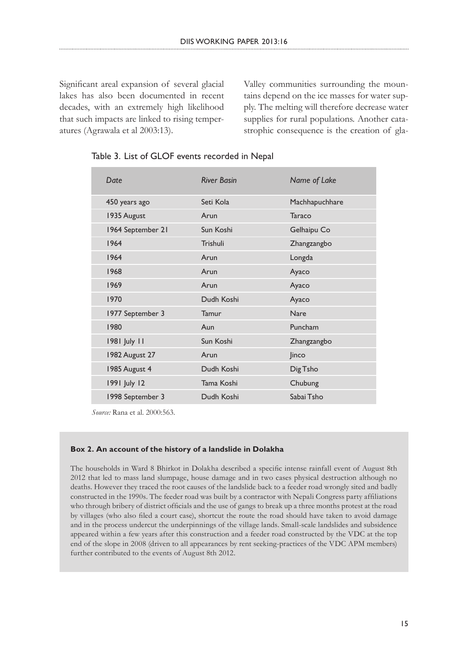Significant areal expansion of several glacial lakes has also been documented in recent decades, with an extremely high likelihood that such impacts are linked to rising temperatures (Agrawala et al 2003:13).

Valley communities surrounding the mountains depend on the ice masses for water supply. The melting will therefore decrease water supplies for rural populations. Another catastrophic consequence is the creation of gla-

| Date              | <b>River Basin</b> | Name of Lake   |
|-------------------|--------------------|----------------|
| 450 years ago     | Seti Kola          | Machhapuchhare |
| 1935 August       | Arun               | Taraco         |
| 1964 September 21 | Sun Koshi          | Gelhaipu Co    |
| 1964              | Trishuli           | Zhangzangbo    |
| 1964              | Arun               | Longda         |
| 1968              | Arun               | Ayaco          |
| 1969              | Arun               | Ayaco          |
| 1970              | Dudh Koshi         | Ayaco          |
| 1977 September 3  | Tamur              | <b>Nare</b>    |
| 1980              | Aun                | Puncham        |
| 1981 July 11      | Sun Koshi          | Zhangzangbo    |
| 1982 August 27    | Arun               | Jinco          |
| 1985 August 4     | Dudh Koshi         | Dig Tsho       |
| 1991 July 12      | Tama Koshi         | Chubung        |
| 1998 September 3  | Dudh Koshi         | Sabai Tsho     |

Table 3. List of GLOF events recorded in Nepal

*Source:* Rana et al. 2000:563.

#### **Box 2. An account of the history of a landslide in Dolakha**

The households in Ward 8 Bhirkot in Dolakha described a specific intense rainfall event of August 8th 2012 that led to mass land slumpage, house damage and in two cases physical destruction although no deaths. However they traced the root causes of the landslide back to a feeder road wrongly sited and badly constructed in the 1990s. The feeder road was built by a contractor with Nepali Congress party affiliations who through bribery of district officials and the use of gangs to break up a three months protest at the road by villages (who also filed a court case), shortcut the route the road should have taken to avoid damage and in the process undercut the underpinnings of the village lands. Small-scale landslides and subsidence appeared within a few years after this construction and a feeder road constructed by the VDC at the top end of the slope in 2008 (driven to all appearances by rent seeking-practices of the VDC APM members) further contributed to the events of August 8th 2012.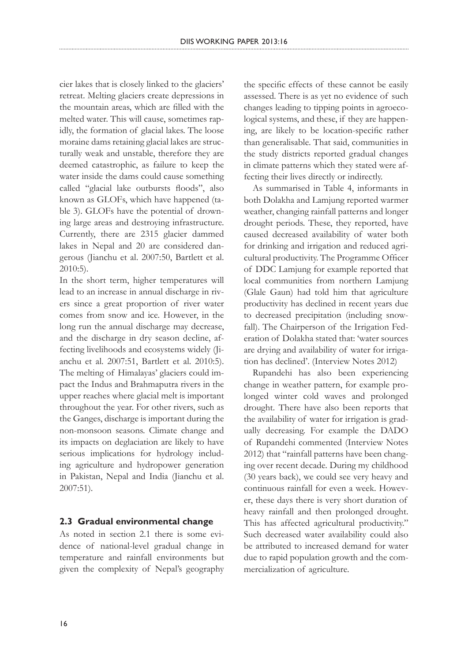cier lakes that is closely linked to the glaciers' retreat. Melting glaciers create depressions in the mountain areas, which are filled with the melted water. This will cause, sometimes rapidly, the formation of glacial lakes. The loose moraine dams retaining glacial lakes are structurally weak and unstable, therefore they are deemed catastrophic, as failure to keep the water inside the dams could cause something called "glacial lake outbursts floods", also known as GLOFs, which have happened (table 3). GLOFs have the potential of drowning large areas and destroying infrastructure. Currently, there are 2315 glacier dammed lakes in Nepal and 20 are considered dangerous (Jianchu et al. 2007:50, Bartlett et al. 2010:5).

In the short term, higher temperatures will lead to an increase in annual discharge in rivers since a great proportion of river water comes from snow and ice. However, in the long run the annual discharge may decrease, and the discharge in dry season decline, affecting livelihoods and ecosystems widely (Jianchu et al. 2007:51, Bartlett et al. 2010:5). The melting of Himalayas' glaciers could impact the Indus and Brahmaputra rivers in the upper reaches where glacial melt is important throughout the year. For other rivers, such as the Ganges, discharge is important during the non-monsoon seasons. Climate change and its impacts on deglaciation are likely to have serious implications for hydrology including agriculture and hydropower generation in Pakistan, Nepal and India (Jianchu et al. 2007:51).

### **2.3 Gradual environmental change**

As noted in section 2.1 there is some evidence of national-level gradual change in temperature and rainfall environments but given the complexity of Nepal's geography the specific effects of these cannot be easily assessed. There is as yet no evidence of such changes leading to tipping points in agroecological systems, and these, if they are happening, are likely to be location-specific rather than generalisable. That said, communities in the study districts reported gradual changes in climate patterns which they stated were affecting their lives directly or indirectly.

As summarised in Table 4, informants in both Dolakha and Lamjung reported warmer weather, changing rainfall patterns and longer drought periods. These, they reported, have caused decreased availability of water both for drinking and irrigation and reduced agricultural productivity. The Programme Officer of DDC Lamjung for example reported that local communities from northern Lamjung (Glale Gaun) had told him that agriculture productivity has declined in recent years due to decreased precipitation (including snowfall). The Chairperson of the Irrigation Federation of Dolakha stated that: 'water sources are drying and availability of water for irrigation has declined'. (Interview Notes 2012)

Rupandehi has also been experiencing change in weather pattern, for example prolonged winter cold waves and prolonged drought. There have also been reports that the availability of water for irrigation is gradually decreasing. For example the DADO of Rupandehi commented (Interview Notes 2012) that "rainfall patterns have been changing over recent decade. During my childhood (30 years back), we could see very heavy and continuous rainfall for even a week. However, these days there is very short duration of heavy rainfall and then prolonged drought. This has affected agricultural productivity." Such decreased water availability could also be attributed to increased demand for water due to rapid population growth and the commercialization of agriculture.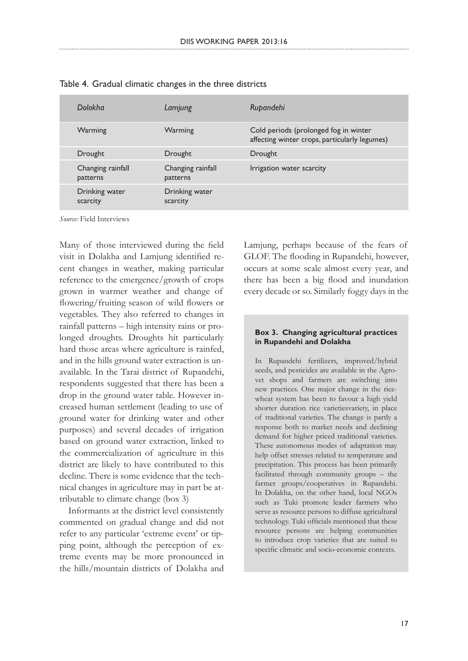| Dolokha                       | Lamjung                       | Rupandehi                                                                              |
|-------------------------------|-------------------------------|----------------------------------------------------------------------------------------|
| Warming                       | Warming                       | Cold periods (prolonged fog in winter<br>affecting winter crops, particularly legumes) |
| Drought                       | Drought                       | Drought                                                                                |
| Changing rainfall<br>patterns | Changing rainfall<br>patterns | Irrigation water scarcity                                                              |
| Drinking water<br>scarcity    | Drinking water<br>scarcity    |                                                                                        |

Table 4. Gradual climatic changes in the three districts

*Source:* Field Interviews

Many of those interviewed during the field visit in Dolakha and Lamjung identified recent changes in weather, making particular reference to the emergence/growth of crops grown in warmer weather and change of flowering/fruiting season of wild flowers or vegetables. They also referred to changes in rainfall patterns – high intensity rains or prolonged droughts. Droughts hit particularly hard those areas where agriculture is rainfed, and in the hills ground water extraction is unavailable. In the Tarai district of Rupandehi, respondents suggested that there has been a drop in the ground water table. However increased human settlement (leading to use of ground water for drinking water and other purposes) and several decades of irrigation based on ground water extraction, linked to the commercialization of agriculture in this district are likely to have contributed to this decline. There is some evidence that the technical changes in agriculture may in part be attributable to climate change (box 3)

Informants at the district level consistently commented on gradual change and did not refer to any particular 'extreme event' or tipping point, although the perception of extreme events may be more pronounced in the hills/mountain districts of Dolakha and

Lamjung, perhaps because of the fears of GLOF. The flooding in Rupandehi, however, occurs at some scale almost every year, and there has been a big flood and inundation every decade or so. Similarly foggy days in the

#### **Box 3. Changing agricultural practices in Rupandehi and Dolakha**

In Rupandehi fertilizers, improved/hybrid seeds, and pesticides are available in the Agrovet shops and farmers are switching into new practices. One major change in the ricewheat system has been to favour a high yield shorter duration rice varietiesvariety, in place of traditional varieties. The change is partly a response both to market needs and declining demand for higher priced traditional varieties. These autonomous modes of adaptation may help offset stresses related to temperature and precipitation. This process has been primarily facilitated through community groups – the farmer groups/cooperatives in Rupandehi. In Dolakha, on the other hand, local NGOs such as Tuki promote leader farmers who serve as resource persons to diffuse agricultural technology. Tuki officials mentioned that these resource persons are helping communities to introduce crop varieties that are suited to specific climatic and socio-economic contexts.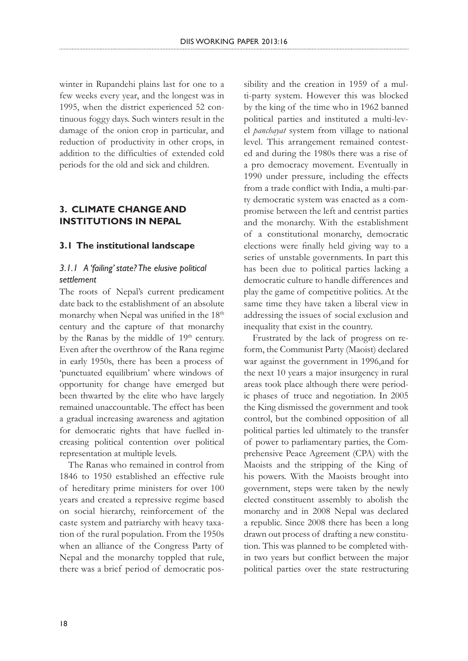winter in Rupandehi plains last for one to a few weeks every year, and the longest was in 1995, when the district experienced 52 continuous foggy days. Such winters result in the damage of the onion crop in particular, and reduction of productivity in other crops, in addition to the difficulties of extended cold periods for the old and sick and children.

### **3. CLIMATE CHANGE AND INSTITUTIONS IN NEPAL**

### **3.1 The institutional landscape**

### *3.1.1 A 'failing' state? The elusive political settlement*

The roots of Nepal's current predicament date back to the establishment of an absolute monarchy when Nepal was unified in the 18<sup>th</sup> century and the capture of that monarchy by the Ranas by the middle of 19<sup>th</sup> century. Even after the overthrow of the Rana regime in early 1950s, there has been a process of 'punctuated equilibrium' where windows of opportunity for change have emerged but been thwarted by the elite who have largely remained unaccountable. The effect has been a gradual increasing awareness and agitation for democratic rights that have fuelled increasing political contention over political representation at multiple levels.

The Ranas who remained in control from 1846 to 1950 established an effective rule of hereditary prime ministers for over 100 years and created a repressive regime based on social hierarchy, reinforcement of the caste system and patriarchy with heavy taxation of the rural population. From the 1950s when an alliance of the Congress Party of Nepal and the monarchy toppled that rule, there was a brief period of democratic possibility and the creation in 1959 of a multi-party system. However this was blocked by the king of the time who in 1962 banned political parties and instituted a multi-level *panchayat* system from village to national level. This arrangement remained contested and during the 1980s there was a rise of a pro democracy movement. Eventually in 1990 under pressure, including the effects from a trade conflict with India, a multi-party democratic system was enacted as a compromise between the left and centrist parties and the monarchy. With the establishment of a constitutional monarchy, democratic elections were finally held giving way to a series of unstable governments. In part this has been due to political parties lacking a democratic culture to handle differences and play the game of competitive politics. At the same time they have taken a liberal view in addressing the issues of social exclusion and inequality that exist in the country.

Frustrated by the lack of progress on reform, the Communist Party (Maoist) declared war against the government in 1996,and for the next 10 years a major insurgency in rural areas took place although there were periodic phases of truce and negotiation. In 2005 the King dismissed the government and took control, but the combined opposition of all political parties led ultimately to the transfer of power to parliamentary parties, the Comprehensive Peace Agreement (CPA) with the Maoists and the stripping of the King of his powers. With the Maoists brought into government, steps were taken by the newly elected constituent assembly to abolish the monarchy and in 2008 Nepal was declared a republic. Since 2008 there has been a long drawn out process of drafting a new constitution. This was planned to be completed within two years but conflict between the major political parties over the state restructuring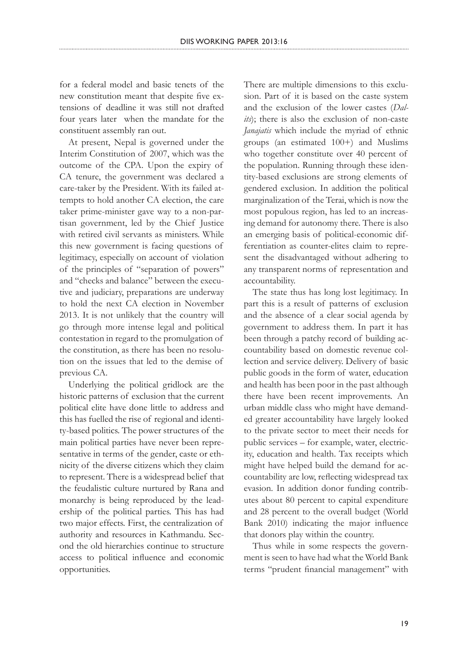for a federal model and basic tenets of the new constitution meant that despite five extensions of deadline it was still not drafted four years later when the mandate for the constituent assembly ran out.

At present, Nepal is governed under the Interim Constitution of 2007, which was the outcome of the CPA. Upon the expiry of CA tenure, the government was declared a care-taker by the President. With its failed attempts to hold another CA election, the care taker prime-minister gave way to a non-partisan government, led by the Chief Justice with retired civil servants as ministers. While this new government is facing questions of legitimacy, especially on account of violation of the principles of "separation of powers" and "checks and balance" between the executive and judiciary, preparations are underway to hold the next CA election in November 2013. It is not unlikely that the country will go through more intense legal and political contestation in regard to the promulgation of the constitution, as there has been no resolution on the issues that led to the demise of previous CA.

Underlying the political gridlock are the historic patterns of exclusion that the current political elite have done little to address and this has fuelled the rise of regional and identity-based politics. The power structures of the main political parties have never been representative in terms of the gender, caste or ethnicity of the diverse citizens which they claim to represent. There is a widespread belief that the feudalistic culture nurtured by Rana and monarchy is being reproduced by the leadership of the political parties. This has had two major effects. First, the centralization of authority and resources in Kathmandu. Second the old hierarchies continue to structure access to political influence and economic opportunities.

There are multiple dimensions to this exclusion. Part of it is based on the caste system and the exclusion of the lower castes (*Dalits*); there is also the exclusion of non-caste *Janajatis* which include the myriad of ethnic groups (an estimated 100+) and Muslims who together constitute over 40 percent of the population. Running through these identity-based exclusions are strong elements of gendered exclusion. In addition the political marginalization of the Terai, which is now the most populous region, has led to an increasing demand for autonomy there. There is also an emerging basis of political-economic differentiation as counter-elites claim to represent the disadvantaged without adhering to any transparent norms of representation and accountability.

The state thus has long lost legitimacy. In part this is a result of patterns of exclusion and the absence of a clear social agenda by government to address them. In part it has been through a patchy record of building accountability based on domestic revenue collection and service delivery. Delivery of basic public goods in the form of water, education and health has been poor in the past although there have been recent improvements. An urban middle class who might have demanded greater accountability have largely looked to the private sector to meet their needs for public services – for example, water, electricity, education and health. Tax receipts which might have helped build the demand for accountability are low, reflecting widespread tax evasion. In addition donor funding contributes about 80 percent to capital expenditure and 28 percent to the overall budget (World Bank 2010) indicating the major influence that donors play within the country.

Thus while in some respects the government is seen to have had what the World Bank terms "prudent financial management" with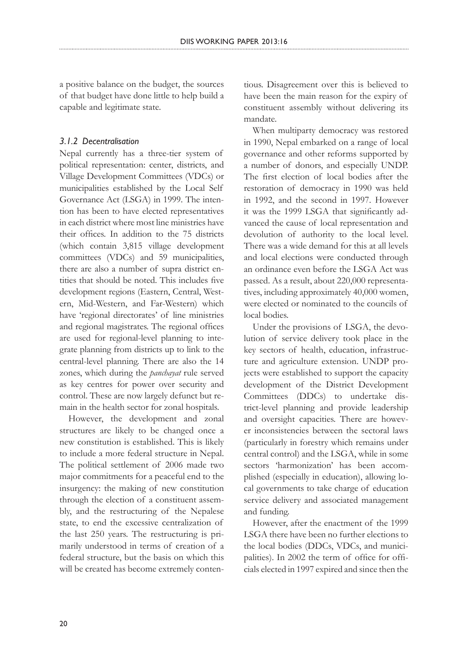a positive balance on the budget, the sources of that budget have done little to help build a capable and legitimate state.

### *3.1.2 Decentralisation*

Nepal currently has a three-tier system of political representation: center, districts, and Village Development Committees (VDCs) or municipalities established by the Local Self Governance Act (LSGA) in 1999. The intention has been to have elected representatives in each district where most line ministries have their offices. In addition to the 75 districts (which contain 3,815 village development committees (VDCs) and 59 municipalities, there are also a number of supra district entities that should be noted. This includes five development regions (Eastern, Central, Western, Mid-Western, and Far-Western) which have 'regional directorates' of line ministries and regional magistrates. The regional offices are used for regional-level planning to integrate planning from districts up to link to the central-level planning. There are also the 14 zones, which during the *panchayat* rule served as key centres for power over security and control. These are now largely defunct but remain in the health sector for zonal hospitals.

However, the development and zonal structures are likely to be changed once a new constitution is established. This is likely to include a more federal structure in Nepal. The political settlement of 2006 made two major commitments for a peaceful end to the insurgency: the making of new constitution through the election of a constituent assembly, and the restructuring of the Nepalese state, to end the excessive centralization of the last 250 years. The restructuring is primarily understood in terms of creation of a federal structure, but the basis on which this will be created has become extremely contentious. Disagreement over this is believed to have been the main reason for the expiry of constituent assembly without delivering its mandate.

When multiparty democracy was restored in 1990, Nepal embarked on a range of local governance and other reforms supported by a number of donors, and especially UNDP. The first election of local bodies after the restoration of democracy in 1990 was held in 1992, and the second in 1997. However it was the 1999 LSGA that significantly advanced the cause of local representation and devolution of authority to the local level. There was a wide demand for this at all levels and local elections were conducted through an ordinance even before the LSGA Act was passed. As a result, about 220,000 representatives, including approximately 40,000 women, were elected or nominated to the councils of local bodies.

Under the provisions of LSGA, the devolution of service delivery took place in the key sectors of health, education, infrastructure and agriculture extension. UNDP projects were established to support the capacity development of the District Development Committees (DDCs) to undertake district-level planning and provide leadership and oversight capacities. There are however inconsistencies between the sectoral laws (particularly in forestry which remains under central control) and the LSGA, while in some sectors 'harmonization' has been accomplished (especially in education), allowing local governments to take charge of education service delivery and associated management and funding.

However, after the enactment of the 1999 LSGA there have been no further elections to the local bodies (DDCs, VDCs, and municipalities). In 2002 the term of office for officials elected in 1997 expired and since then the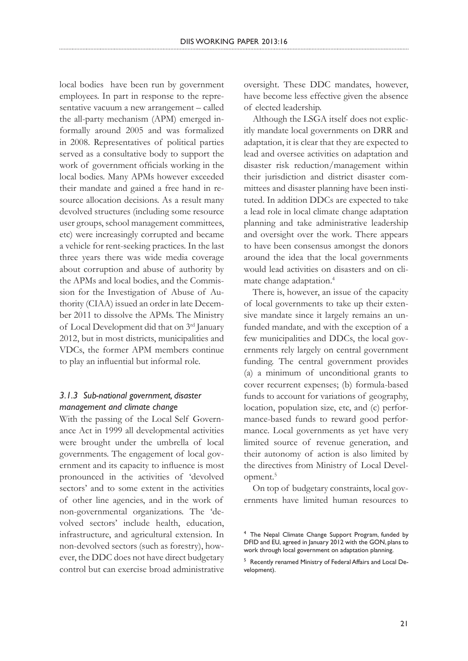local bodies have been run by government employees. In part in response to the representative vacuum a new arrangement – called the all-party mechanism (APM) emerged informally around 2005 and was formalized in 2008. Representatives of political parties served as a consultative body to support the work of government officials working in the local bodies. Many APMs however exceeded their mandate and gained a free hand in resource allocation decisions. As a result many devolved structures (including some resource user groups, school management committees, etc) were increasingly corrupted and became a vehicle for rent-seeking practices. In the last three years there was wide media coverage about corruption and abuse of authority by the APMs and local bodies, and the Commission for the Investigation of Abuse of Authority (CIAA) issued an order in late December 2011 to dissolve the APMs. The Ministry of Local Development did that on 3rd January 2012, but in most districts, municipalities and VDCs, the former APM members continue to play an influential but informal role.

# *3.1.3 Sub-national government, disaster management and climate change*

With the passing of the Local Self Governance Act in 1999 all developmental activities were brought under the umbrella of local governments. The engagement of local government and its capacity to influence is most pronounced in the activities of 'devolved sectors' and to some extent in the activities of other line agencies, and in the work of non-governmental organizations. The 'devolved sectors' include health, education, infrastructure, and agricultural extension. In non-devolved sectors (such as forestry), however, the DDC does not have direct budgetary control but can exercise broad administrative

oversight. These DDC mandates, however, have become less effective given the absence of elected leadership.

Although the LSGA itself does not explicitly mandate local governments on DRR and adaptation, it is clear that they are expected to lead and oversee activities on adaptation and disaster risk reduction/management within their jurisdiction and district disaster committees and disaster planning have been instituted. In addition DDCs are expected to take a lead role in local climate change adaptation planning and take administrative leadership and oversight over the work. There appears to have been consensus amongst the donors around the idea that the local governments would lead activities on disasters and on climate change adaptation.4

There is, however, an issue of the capacity of local governments to take up their extensive mandate since it largely remains an unfunded mandate, and with the exception of a few municipalities and DDCs, the local governments rely largely on central government funding. The central government provides (a) a minimum of unconditional grants to cover recurrent expenses; (b) formula-based funds to account for variations of geography, location, population size, etc, and (c) performance-based funds to reward good performance. Local governments as yet have very limited source of revenue generation, and their autonomy of action is also limited by the directives from Ministry of Local Development.5

On top of budgetary constraints, local governments have limited human resources to

<sup>4</sup> The Nepal Climate Change Support Program, funded by DFID and EU, agreed in January 2012 with the GON, plans to work through local government on adaptation planning.

<sup>5</sup> Recently renamed Ministry of Federal Affairs and Local Development).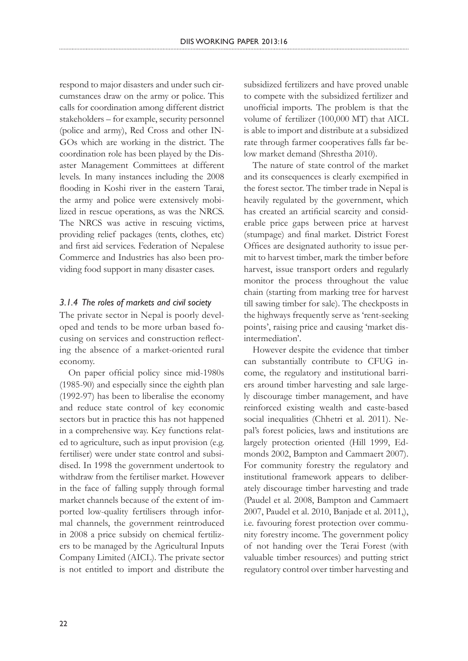respond to major disasters and under such circumstances draw on the army or police. This calls for coordination among different district stakeholders – for example, security personnel (police and army), Red Cross and other IN-GOs which are working in the district. The coordination role has been played by the Disaster Management Committees at different levels. In many instances including the 2008 flooding in Koshi river in the eastern Tarai, the army and police were extensively mobilized in rescue operations, as was the NRCS. The NRCS was active in rescuing victims, providing relief packages (tents, clothes, etc) and first aid services. Federation of Nepalese Commerce and Industries has also been providing food support in many disaster cases.

### *3.1.4 The roles of markets and civil society*

The private sector in Nepal is poorly developed and tends to be more urban based focusing on services and construction reflecting the absence of a market-oriented rural economy.

On paper official policy since mid-1980s (1985-90) and especially since the eighth plan (1992-97) has been to liberalise the economy and reduce state control of key economic sectors but in practice this has not happened in a comprehensive way. Key functions related to agriculture, such as input provision (e.g. fertiliser) were under state control and subsidised. In 1998 the government undertook to withdraw from the fertiliser market. However in the face of falling supply through formal market channels because of the extent of imported low-quality fertilisers through informal channels, the government reintroduced in 2008 a price subsidy on chemical fertilizers to be managed by the Agricultural Inputs Company Limited (AICL). The private sector is not entitled to import and distribute the

subsidized fertilizers and have proved unable to compete with the subsidized fertilizer and unofficial imports. The problem is that the volume of fertilizer (100,000 MT) that AICL is able to import and distribute at a subsidized rate through farmer cooperatives falls far below market demand (Shrestha 2010).

The nature of state control of the market and its consequences is clearly exempified in the forest sector. The timber trade in Nepal is heavily regulated by the government, which has created an artificial scarcity and considerable price gaps between price at harvest (stumpage) and final market. District Forest Offices are designated authority to issue permit to harvest timber, mark the timber before harvest, issue transport orders and regularly monitor the process throughout the value chain (starting from marking tree for harvest till sawing timber for sale). The checkposts in the highways frequently serve as 'rent-seeking points', raising price and causing 'market disintermediation'.

However despite the evidence that timber can substantially contribute to CFUG income, the regulatory and institutional barriers around timber harvesting and sale largely discourage timber management, and have reinforced existing wealth and caste-based social inequalities (Chhetri et al. 2011). Nepal's forest policies, laws and institutions are largely protection oriented (Hill 1999, Edmonds 2002, Bampton and Cammaert 2007). For community forestry the regulatory and institutional framework appears to deliberately discourage timber harvesting and trade (Paudel et al. 2008, Bampton and Cammaert 2007, Paudel et al. 2010, Banjade et al. 2011,), i.e. favouring forest protection over community forestry income. The government policy of not handing over the Terai Forest (with valuable timber resources) and putting strict regulatory control over timber harvesting and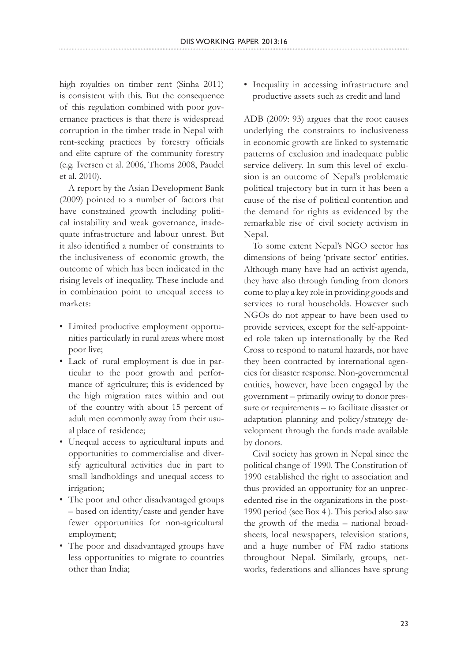high royalties on timber rent (Sinha 2011) is consistent with this. But the consequence of this regulation combined with poor governance practices is that there is widespread corruption in the timber trade in Nepal with rent-seeking practices by forestry officials and elite capture of the community forestry (e.g. Iversen et al. 2006, Thoms 2008, Paudel et al. 2010).

A report by the Asian Development Bank (2009) pointed to a number of factors that have constrained growth including political instability and weak governance, inadequate infrastructure and labour unrest. But it also identified a number of constraints to the inclusiveness of economic growth, the outcome of which has been indicated in the rising levels of inequality. These include and in combination point to unequal access to markets:

- Limited productive employment opportunities particularly in rural areas where most poor live;
- Lack of rural employment is due in particular to the poor growth and performance of agriculture; this is evidenced by the high migration rates within and out of the country with about 15 percent of adult men commonly away from their usual place of residence;
- Unequal access to agricultural inputs and opportunities to commercialise and diversify agricultural activities due in part to small landholdings and unequal access to irrigation;
- The poor and other disadvantaged groups – based on identity/caste and gender have fewer opportunities for non-agricultural employment;
- The poor and disadvantaged groups have less opportunities to migrate to countries other than India;

• Inequality in accessing infrastructure and productive assets such as credit and land

ADB (2009: 93) argues that the root causes underlying the constraints to inclusiveness in economic growth are linked to systematic patterns of exclusion and inadequate public service delivery. In sum this level of exclusion is an outcome of Nepal's problematic political trajectory but in turn it has been a cause of the rise of political contention and the demand for rights as evidenced by the remarkable rise of civil society activism in Nepal.

To some extent Nepal's NGO sector has dimensions of being 'private sector' entities. Although many have had an activist agenda, they have also through funding from donors come to play a key role in providing goods and services to rural households. However such NGOs do not appear to have been used to provide services, except for the self-appointed role taken up internationally by the Red Cross to respond to natural hazards, nor have they been contracted by international agencies for disaster response. Non-governmental entities, however, have been engaged by the government – primarily owing to donor pressure or requirements – to facilitate disaster or adaptation planning and policy/strategy development through the funds made available by donors.

Civil society has grown in Nepal since the political change of 1990. The Constitution of 1990 established the right to association and thus provided an opportunity for an unprecedented rise in the organizations in the post-1990 period (see Box 4 ). This period also saw the growth of the media – national broadsheets, local newspapers, television stations, and a huge number of FM radio stations throughout Nepal. Similarly, groups, networks, federations and alliances have sprung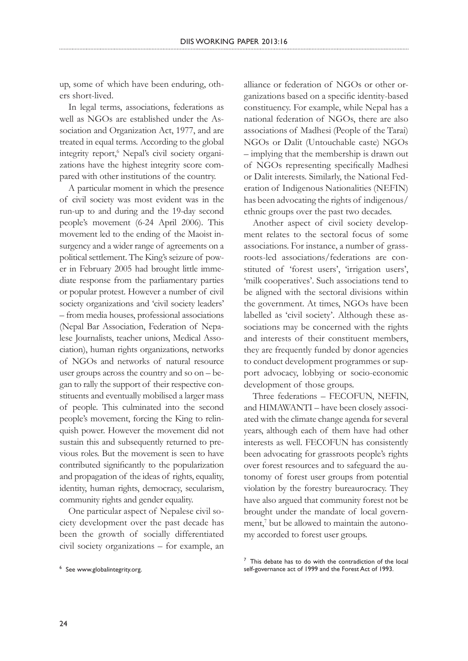up, some of which have been enduring, others short-lived.

In legal terms, associations, federations as well as NGOs are established under the Association and Organization Act, 1977, and are treated in equal terms. According to the global integrity report,<sup>6</sup> Nepal's civil society organizations have the highest integrity score compared with other institutions of the country.

A particular moment in which the presence of civil society was most evident was in the run-up to and during and the 19-day second people's movement (6-24 April 2006). This movement led to the ending of the Maoist insurgency and a wider range of agreements on a political settlement. The King's seizure of power in February 2005 had brought little immediate response from the parliamentary parties or popular protest. However a number of civil society organizations and 'civil society leaders' – from media houses, professional associations (Nepal Bar Association, Federation of Nepalese Journalists, teacher unions, Medical Association), human rights organizations, networks of NGOs and networks of natural resource user groups across the country and so on – began to rally the support of their respective constituents and eventually mobilised a larger mass of people. This culminated into the second people's movement, forcing the King to relinquish power. However the movement did not sustain this and subsequently returned to previous roles. But the movement is seen to have contributed significantly to the popularization and propagation of the ideas of rights, equality, identity, human rights, democracy, secularism, community rights and gender equality.

One particular aspect of Nepalese civil society development over the past decade has been the growth of socially differentiated civil society organizations – for example, an

alliance or federation of NGOs or other organizations based on a specific identity-based constituency. For example, while Nepal has a national federation of NGOs, there are also associations of Madhesi (People of the Tarai) NGOs or Dalit (Untouchable caste) NGOs – implying that the membership is drawn out of NGOs representing specifically Madhesi or Dalit interests. Similarly, the National Federation of Indigenous Nationalities (NEFIN) has been advocating the rights of indigenous/ ethnic groups over the past two decades.

Another aspect of civil society development relates to the sectoral focus of some associations. For instance, a number of grassroots-led associations/federations are constituted of 'forest users', 'irrigation users', 'milk cooperatives'. Such associations tend to be aligned with the sectoral divisions within the government. At times, NGOs have been labelled as 'civil society'. Although these associations may be concerned with the rights and interests of their constituent members, they are frequently funded by donor agencies to conduct development programmes or support advocacy, lobbying or socio-economic development of those groups.

Three federations – FECOFUN, NEFIN, and HIMAWANTI – have been closely associated with the climate change agenda for several years, although each of them have had other interests as well. FECOFUN has consistently been advocating for grassroots people's rights over forest resources and to safeguard the autonomy of forest user groups from potential violation by the forestry bureaurocracy. They have also argued that community forest not be brought under the mandate of local government,<sup>7</sup> but be allowed to maintain the autonomy accorded to forest user groups.

<sup>6</sup> See www.globalintegrity.org.

 $7$  This debate has to do with the contradiction of the local self-governance act of 1999 and the Forest Act of 1993.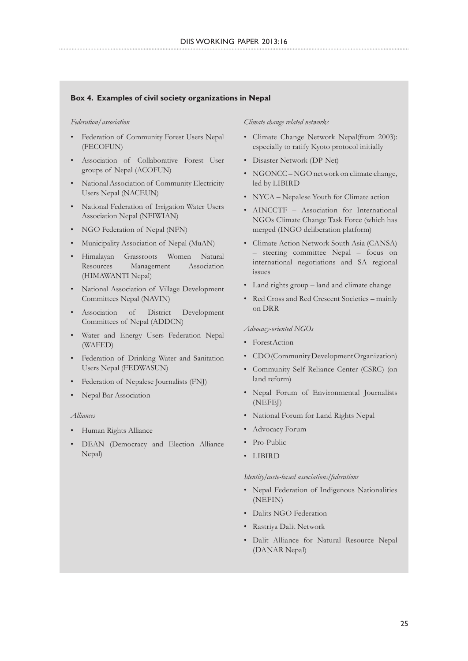#### **Box 4. Examples of civil society organizations in Nepal**

#### *Federation/association*

- Federation of Community Forest Users Nepal (FECOFUN)
- Association of Collaborative Forest User groups of Nepal (ACOFUN)
- National Association of Community Electricity Users Nepal (NACEUN)
- National Federation of Irrigation Water Users Association Nepal (NFIWIAN)
- NGO Federation of Nepal (NFN)
- Municipality Association of Nepal (MuAN)
- Himalayan Grassroots Women Natural Resources Management Association (HIMAWANTI Nepal)
- National Association of Village Development Committees Nepal (NAVIN)
- Association of District Development Committees of Nepal (ADDCN)
- Water and Energy Users Federation Nepal (WAFED)
- Federation of Drinking Water and Sanitation Users Nepal (FEDWASUN)
- Federation of Nepalese Journalists (FNJ)
- Nepal Bar Association

#### *Alliances*

- Human Rights Alliance
- DEAN (Democracy and Election Alliance Nepal)

#### *Climate change related networks*

- Climate Change Network Nepal(from 2003): especially to ratify Kyoto protocol initially
- Disaster Network (DP-Net)
- NGONCC NGO network on climate change, led by LIBIRD
- NYCA Nepalese Youth for Climate action
- AINCCTF Association for International NGOs Climate Change Task Force (which has merged (INGO deliberation platform)
- Climate Action Network South Asia (CANSA) – steering committee Nepal – focus on international negotiations and SA regional issues
- Land rights group land and climate change
- Red Cross and Red Crescent Societies mainly on DRR

#### *Advocacy-oriented NGOs*

- ForestAction
- CDO (Community Development Organization)
- Community Self Reliance Center (CSRC) (on land reform)
- Nepal Forum of Environmental Journalists (NEFEJ)
- National Forum for Land Rights Nepal
- Advocacy Forum
- Pro-Public
- LIBIRD

#### *Identity/caste-based associations/federations*

- Nepal Federation of Indigenous Nationalities (NEFIN)
- Dalits NGO Federation
- Rastriya Dalit Network
- Dalit Alliance for Natural Resource Nepal (DANAR Nepal)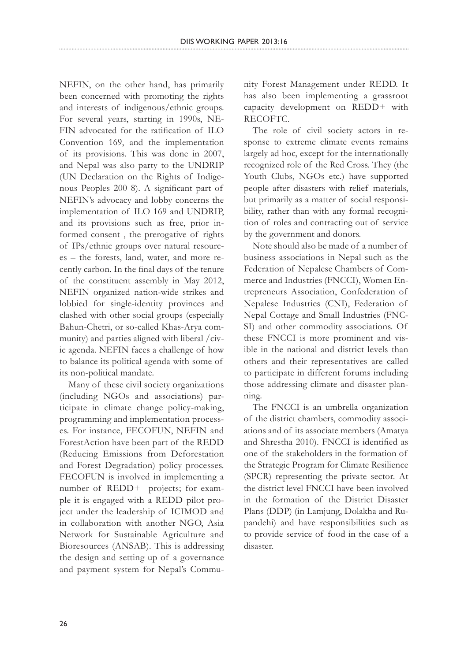NEFIN, on the other hand, has primarily been concerned with promoting the rights and interests of indigenous/ethnic groups. For several years, starting in 1990s, NE-FIN advocated for the ratification of ILO Convention 169, and the implementation of its provisions. This was done in 2007, and Nepal was also party to the UNDRIP (UN Declaration on the Rights of Indigenous Peoples 200 8). A significant part of NEFIN's advocacy and lobby concerns the implementation of ILO 169 and UNDRIP, and its provisions such as free, prior informed consent , the prerogative of rights of IPs/ethnic groups over natural resources – the forests, land, water, and more recently carbon. In the final days of the tenure of the constituent assembly in May 2012, NEFIN organized nation-wide strikes and lobbied for single-identity provinces and clashed with other social groups (especially Bahun-Chetri, or so-called Khas-Arya community) and parties aligned with liberal /civic agenda. NEFIN faces a challenge of how to balance its political agenda with some of its non-political mandate.

Many of these civil society organizations (including NGOs and associations) participate in climate change policy-making, programming and implementation processes. For instance, FECOFUN, NEFIN and ForestAction have been part of the REDD (Reducing Emissions from Deforestation and Forest Degradation) policy processes. FECOFUN is involved in implementing a number of REDD+ projects; for example it is engaged with a REDD pilot project under the leadership of ICIMOD and in collaboration with another NGO, Asia Network for Sustainable Agriculture and Bioresources (ANSAB). This is addressing the design and setting up of a governance and payment system for Nepal's Community Forest Management under REDD. It has also been implementing a grassroot capacity development on REDD+ with RECOFTC.

The role of civil society actors in response to extreme climate events remains largely ad hoc, except for the internationally recognized role of the Red Cross. They (the Youth Clubs, NGOs etc.) have supported people after disasters with relief materials, but primarily as a matter of social responsibility, rather than with any formal recognition of roles and contracting out of service by the government and donors.

Note should also be made of a number of business associations in Nepal such as the Federation of Nepalese Chambers of Commerce and Industries (FNCCI), Women Entrepreneurs Association, Confederation of Nepalese Industries (CNI), Federation of Nepal Cottage and Small Industries (FNC-SI) and other commodity associations. Of these FNCCI is more prominent and visible in the national and district levels than others and their representatives are called to participate in different forums including those addressing climate and disaster planning.

The FNCCI is an umbrella organization of the district chambers, commodity associations and of its associate members (Amatya and Shrestha 2010). FNCCI is identified as one of the stakeholders in the formation of the Strategic Program for Climate Resilience (SPCR) representing the private sector. At the district level FNCCI have been involved in the formation of the District Disaster Plans (DDP) (in Lamjung, Dolakha and Rupandehi) and have responsibilities such as to provide service of food in the case of a disaster.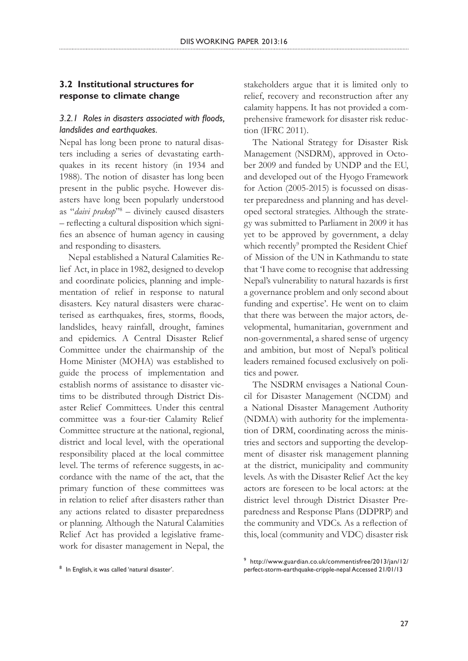# **3.2 Institutional structures for response to climate change**

## *3.2.1 Roles in disasters associated with floods, landslides and earthquakes.*

Nepal has long been prone to natural disasters including a series of devastating earthquakes in its recent history (in 1934 and 1988). The notion of disaster has long been present in the public psyche. However disasters have long been popularly understood as "*daivi prakop*"<sup>8</sup> - divinely caused disasters – reflecting a cultural disposition which signifies an absence of human agency in causing and responding to disasters.

Nepal established a Natural Calamities Relief Act, in place in 1982, designed to develop and coordinate policies, planning and implementation of relief in response to natural disasters. Key natural disasters were characterised as earthquakes, fires, storms, floods, landslides, heavy rainfall, drought, famines and epidemics. A Central Disaster Relief Committee under the chairmanship of the Home Minister (MOHA) was established to guide the process of implementation and establish norms of assistance to disaster victims to be distributed through District Disaster Relief Committees. Under this central committee was a four-tier Calamity Relief Committee structure at the national, regional, district and local level, with the operational responsibility placed at the local committee level. The terms of reference suggests, in accordance with the name of the act, that the primary function of these committees was in relation to relief after disasters rather than any actions related to disaster preparedness or planning. Although the Natural Calamities Relief Act has provided a legislative framework for disaster management in Nepal, the

<sup>8</sup> In English, it was called 'natural disaster'.

stakeholders argue that it is limited only to relief, recovery and reconstruction after any calamity happens. It has not provided a comprehensive framework for disaster risk reduction (IFRC 2011).

The National Strategy for Disaster Risk Management (NSDRM), approved in October 2009 and funded by UNDP and the EU, and developed out of the Hyogo Framework for Action (2005-2015) is focussed on disaster preparedness and planning and has developed sectoral strategies. Although the strategy was submitted to Parliament in 2009 it has yet to be approved by government, a delay which recently<sup>9</sup> prompted the Resident Chief of Mission of the UN in Kathmandu to state that 'I have come to recognise that addressing Nepal's vulnerability to natural hazards is first a governance problem and only second about funding and expertise'. He went on to claim that there was between the major actors, developmental, humanitarian, government and non-governmental, a shared sense of urgency and ambition, but most of Nepal's political leaders remained focused exclusively on politics and power.

The NSDRM envisages a National Council for Disaster Management (NCDM) and a National Disaster Management Authority (NDMA) with authority for the implementation of DRM, coordinating across the ministries and sectors and supporting the development of disaster risk management planning at the district, municipality and community levels. As with the Disaster Relief Act the key actors are foreseen to be local actors: at the district level through District Disaster Preparedness and Response Plans (DDPRP) and the community and VDCs. As a reflection of this, local (community and VDC) disaster risk

<sup>9</sup> http://www.guardian.co.uk/commentisfree/2013/jan/12/ perfect-storm-earthquake-cripple-nepal Accessed 21/01/13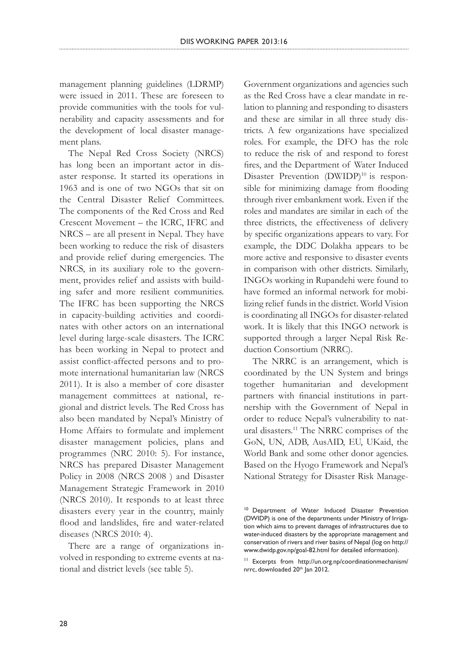management planning guidelines (LDRMP) were issued in 2011. These are foreseen to provide communities with the tools for vulnerability and capacity assessments and for the development of local disaster management plans.

The Nepal Red Cross Society (NRCS) has long been an important actor in disaster response. It started its operations in 1963 and is one of two NGOs that sit on the Central Disaster Relief Committees. The components of the Red Cross and Red Crescent Movement – the ICRC, IFRC and NRCS – are all present in Nepal. They have been working to reduce the risk of disasters and provide relief during emergencies. The NRCS, in its auxiliary role to the government, provides relief and assists with building safer and more resilient communities. The IFRC has been supporting the NRCS in capacity-building activities and coordinates with other actors on an international level during large-scale disasters. The ICRC has been working in Nepal to protect and assist conflict-affected persons and to promote international humanitarian law (NRCS 2011). It is also a member of core disaster management committees at national, regional and district levels. The Red Cross has also been mandated by Nepal's Ministry of Home Affairs to formulate and implement disaster management policies, plans and programmes (NRC 2010: 5). For instance, NRCS has prepared Disaster Management Policy in 2008 (NRCS 2008 ) and Disaster Management Strategic Framework in 2010 (NRCS 2010). It responds to at least three disasters every year in the country, mainly flood and landslides, fire and water-related diseases (NRCS 2010: 4).

There are a range of organizations involved in responding to extreme events at national and district levels (see table 5).

Government organizations and agencies such as the Red Cross have a clear mandate in relation to planning and responding to disasters and these are similar in all three study districts. A few organizations have specialized roles. For example, the DFO has the role to reduce the risk of and respond to forest fires, and the Department of Water Induced Disaster Prevention (DWIDP)<sup>10</sup> is responsible for minimizing damage from flooding through river embankment work. Even if the roles and mandates are similar in each of the three districts, the effectiveness of delivery by specific organizations appears to vary. For example, the DDC Dolakha appears to be more active and responsive to disaster events in comparison with other districts. Similarly, INGOs working in Rupandehi were found to have formed an informal network for mobilizing relief funds in the district. World Vision is coordinating all INGOs for disaster-related work. It is likely that this INGO network is supported through a larger Nepal Risk Reduction Consortium (NRRC).

The NRRC is an arrangement, which is coordinated by the UN System and brings together humanitarian and development partners with financial institutions in partnership with the Government of Nepal in order to reduce Nepal's vulnerability to natural disasters.11 The NRRC comprises of the GoN, UN, ADB, AusAID, EU, UKaid, the World Bank and some other donor agencies. Based on the Hyogo Framework and Nepal's National Strategy for Disaster Risk Manage-

<sup>&</sup>lt;sup>10</sup> Department of Water Induced Disaster Prevention (DWIDP) is one of the departments under Ministry of Irrigation which aims to prevent damages of infrastructures due to water-induced disasters by the appropriate management and conservation of rivers and river basins of Nepal (log on http:// www.dwidp.gov.np/goal-82.html for detailed information).

<sup>11</sup> Excerpts from http://un.org.np/coordinationmechanism/ nrrc, downloaded 20<sup>th</sup> Jan 2012.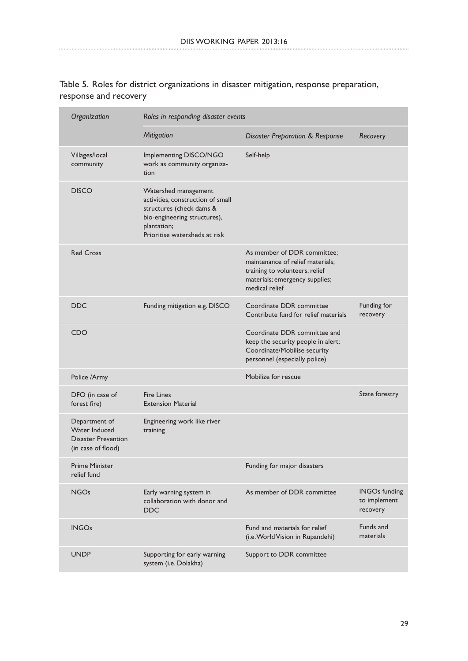| Organization                                                                       | Roles in responding disaster events                                                                                                                                   |                                                                                                                                                       |                                                  |
|------------------------------------------------------------------------------------|-----------------------------------------------------------------------------------------------------------------------------------------------------------------------|-------------------------------------------------------------------------------------------------------------------------------------------------------|--------------------------------------------------|
|                                                                                    | <b>Mitigation</b>                                                                                                                                                     | <b>Disaster Preparation &amp; Response</b>                                                                                                            | Recovery                                         |
| Villages/local<br>community                                                        | Implementing DISCO/NGO<br>work as community organiza-<br>tion                                                                                                         | Self-help                                                                                                                                             |                                                  |
| <b>DISCO</b>                                                                       | Watershed management<br>activities, construction of small<br>structures (check dams &<br>bio-engineering structures),<br>plantation;<br>Prioritise watersheds at risk |                                                                                                                                                       |                                                  |
| <b>Red Cross</b>                                                                   |                                                                                                                                                                       | As member of DDR committee;<br>maintenance of relief materials;<br>training to volunteers; relief<br>materials; emergency supplies;<br>medical relief |                                                  |
| <b>DDC</b>                                                                         | Funding mitigation e.g. DISCO                                                                                                                                         | Coordinate DDR committee<br>Contribute fund for relief materials                                                                                      | Funding for<br>recovery                          |
| CDO                                                                                |                                                                                                                                                                       | Coordinate DDR committee and<br>keep the security people in alert;<br>Coordinate/Mobilise security<br>personnel (especially police)                   |                                                  |
| Police /Army                                                                       |                                                                                                                                                                       | Mobilize for rescue                                                                                                                                   |                                                  |
| DFO (in case of<br>forest fire)                                                    | <b>Fire Lines</b><br><b>Extension Material</b>                                                                                                                        |                                                                                                                                                       | State forestry                                   |
| Department of<br>Water Induced<br><b>Disaster Prevention</b><br>(in case of flood) | Engineering work like river<br>training                                                                                                                               |                                                                                                                                                       |                                                  |
| Prime Minister<br>relief fund                                                      |                                                                                                                                                                       | Funding for major disasters                                                                                                                           |                                                  |
| <b>NGOs</b>                                                                        | Early warning system in<br>collaboration with donor and<br><b>DDC</b>                                                                                                 | As member of DDR committee                                                                                                                            | <b>INGOs funding</b><br>to implement<br>recovery |
| <b>INGOs</b>                                                                       |                                                                                                                                                                       | Fund and materials for relief<br>(i.e. World Vision in Rupandehi)                                                                                     | Funds and<br>materials                           |
| <b>UNDP</b>                                                                        | Supporting for early warning<br>system (i.e. Dolakha)                                                                                                                 | Support to DDR committee                                                                                                                              |                                                  |

Table 5. Roles for district organizations in disaster mitigation, response preparation, response and recovery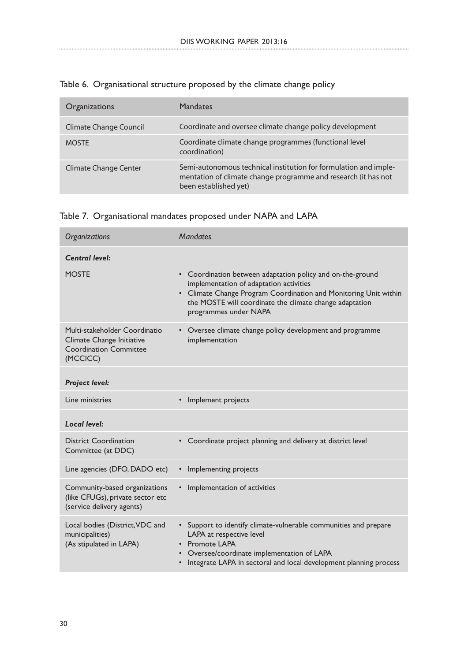| Organizations          | <b>Mandates</b>                                                                                                                                             |
|------------------------|-------------------------------------------------------------------------------------------------------------------------------------------------------------|
| Climate Change Council | Coordinate and oversee climate change policy development                                                                                                    |
| <b>MOSTE</b>           | Coordinate climate change programmes (functional level<br>coordination)                                                                                     |
| Climate Change Center  | Semi-autonomous technical institution for formulation and imple-<br>mentation of climate change programme and research (it has not<br>been established yet) |

# Table 6. Organisational structure proposed by the climate change policy

# Table 7. Organisational mandates proposed under NAPA and LAPA

| Organizations                                                                                           | <b>Mandates</b>                                                                                                                                                                                                                                               |
|---------------------------------------------------------------------------------------------------------|---------------------------------------------------------------------------------------------------------------------------------------------------------------------------------------------------------------------------------------------------------------|
| <b>Central level:</b>                                                                                   |                                                                                                                                                                                                                                                               |
| <b>MOSTE</b>                                                                                            | • Coordination between adaptation policy and on-the-ground<br>implementation of adaptation activities<br>• Climate Change Program Coordination and Monitoring Unit within<br>the MOSTE will coordinate the climate change adaptation<br>programmes under NAPA |
| Multi-stakeholder Coordinatio<br>Climate Change Initiative<br><b>Coordination Committee</b><br>(MCCICC) | • Oversee climate change policy development and programme<br>implementation                                                                                                                                                                                   |
| <b>Project level:</b>                                                                                   |                                                                                                                                                                                                                                                               |
| Line ministries                                                                                         | Implement projects                                                                                                                                                                                                                                            |
| <b>Local level:</b>                                                                                     |                                                                                                                                                                                                                                                               |
| <b>District Coordination</b><br>Committee (at DDC)                                                      | Coordinate project planning and delivery at district level                                                                                                                                                                                                    |
| Line agencies (DFO, DADO etc)                                                                           | Implementing projects<br>$\bullet$                                                                                                                                                                                                                            |
| Community-based organizations<br>(like CFUGs), private sector etc<br>(service delivery agents)          | Implementation of activities<br>$\bullet$                                                                                                                                                                                                                     |
| Local bodies (District, VDC and<br>municipalities)<br>(As stipulated in LAPA)                           | • Support to identify climate-vulnerable communities and prepare<br>LAPA at respective level<br><b>Promote LAPA</b><br>Oversee/coordinate implementation of LAPA<br>Integrate LAPA in sectoral and local development planning process                         |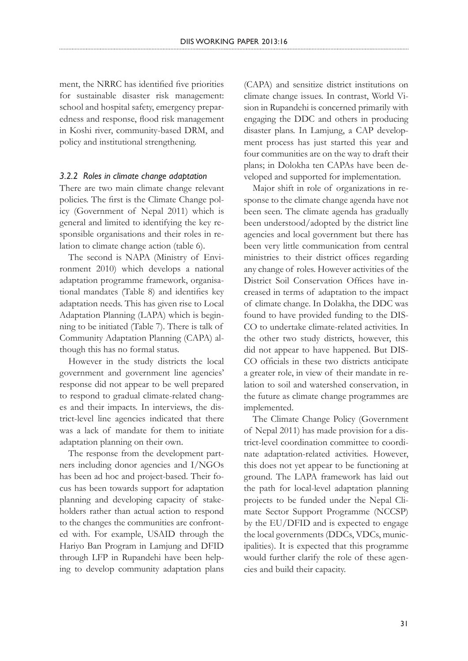ment, the NRRC has identified five priorities for sustainable disaster risk management: school and hospital safety, emergency preparedness and response, flood risk management in Koshi river, community-based DRM, and policy and institutional strengthening.

### *3.2.2 Roles in climate change adaptation*

There are two main climate change relevant policies. The first is the Climate Change policy (Government of Nepal 2011) which is general and limited to identifying the key responsible organisations and their roles in relation to climate change action (table 6).

The second is NAPA (Ministry of Environment 2010) which develops a national adaptation programme framework, organisational mandates (Table 8) and identifies key adaptation needs. This has given rise to Local Adaptation Planning (LAPA) which is beginning to be initiated (Table 7). There is talk of Community Adaptation Planning (CAPA) although this has no formal status.

However in the study districts the local government and government line agencies' response did not appear to be well prepared to respond to gradual climate-related changes and their impacts. In interviews, the district-level line agencies indicated that there was a lack of mandate for them to initiate adaptation planning on their own.

The response from the development partners including donor agencies and I/NGOs has been ad hoc and project-based. Their focus has been towards support for adaptation planning and developing capacity of stakeholders rather than actual action to respond to the changes the communities are confronted with. For example, USAID through the Hariyo Ban Program in Lamjung and DFID through LFP in Rupandehi have been helping to develop community adaptation plans

(CAPA) and sensitize district institutions on climate change issues. In contrast, World Vision in Rupandehi is concerned primarily with engaging the DDC and others in producing disaster plans. In Lamjung, a CAP development process has just started this year and four communities are on the way to draft their plans; in Dolokha ten CAPAs have been developed and supported for implementation.

Major shift in role of organizations in response to the climate change agenda have not been seen. The climate agenda has gradually been understood/adopted by the district line agencies and local government but there has been very little communication from central ministries to their district offices regarding any change of roles. However activities of the District Soil Conservation Offices have increased in terms of adaptation to the impact of climate change. In Dolakha, the DDC was found to have provided funding to the DIS-CO to undertake climate-related activities. In the other two study districts, however, this did not appear to have happened. But DIS-CO officials in these two districts anticipate a greater role, in view of their mandate in relation to soil and watershed conservation, in the future as climate change programmes are implemented.

The Climate Change Policy (Government of Nepal 2011) has made provision for a district-level coordination committee to coordinate adaptation-related activities. However, this does not yet appear to be functioning at ground. The LAPA framework has laid out the path for local-level adaptation planning projects to be funded under the Nepal Climate Sector Support Programme (NCCSP) by the EU/DFID and is expected to engage the local governments (DDCs, VDCs, municipalities). It is expected that this programme would further clarify the role of these agencies and build their capacity.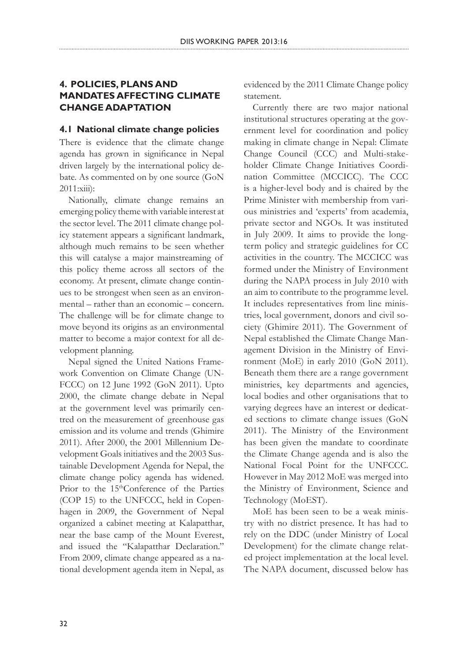# **4. POLICIES, PLANS AND MANDATES AFFECTING CLIMATE CHANGE ADAPTATION**

# **4.1 National climate change policies**

There is evidence that the climate change agenda has grown in significance in Nepal driven largely by the international policy debate. As commented on by one source (GoN 2011:xiii):

Nationally, climate change remains an emerging policy theme with variable interest at the sector level. The 2011 climate change policy statement appears a significant landmark, although much remains to be seen whether this will catalyse a major mainstreaming of this policy theme across all sectors of the economy. At present, climate change continues to be strongest when seen as an environmental – rather than an economic – concern. The challenge will be for climate change to move beyond its origins as an environmental matter to become a major context for all development planning.

Nepal signed the United Nations Framework Convention on Climate Change (UN-FCCC) on 12 June 1992 (GoN 2011). Upto 2000, the climate change debate in Nepal at the government level was primarily centred on the measurement of greenhouse gas emission and its volume and trends (Ghimire 2011). After 2000, the 2001 Millennium Development Goals initiatives and the 2003 Sustainable Development Agenda for Nepal, the climate change policy agenda has widened. Prior to the 15<sup>th</sup>Conference of the Parties (COP 15) to the UNFCCC, held in Copenhagen in 2009, the Government of Nepal organized a cabinet meeting at Kalapatthar, near the base camp of the Mount Everest, and issued the "Kalapatthar Declaration." From 2009, climate change appeared as a national development agenda item in Nepal, as

evidenced by the 2011 Climate Change policy statement.

Currently there are two major national institutional structures operating at the government level for coordination and policy making in climate change in Nepal: Climate Change Council (CCC) and Multi-stakeholder Climate Change Initiatives Coordination Committee (MCCICC). The CCC is a higher-level body and is chaired by the Prime Minister with membership from various ministries and 'experts' from academia, private sector and NGOs. It was instituted in July 2009. It aims to provide the longterm policy and strategic guidelines for CC activities in the country. The MCCICC was formed under the Ministry of Environment during the NAPA process in July 2010 with an aim to contribute to the programme level. It includes representatives from line ministries, local government, donors and civil society (Ghimire 2011). The Government of Nepal established the Climate Change Management Division in the Ministry of Environment (MoE) in early 2010 (GoN 2011). Beneath them there are a range government ministries, key departments and agencies, local bodies and other organisations that to varying degrees have an interest or dedicated sections to climate change issues (GoN 2011). The Ministry of the Environment has been given the mandate to coordinate the Climate Change agenda and is also the National Focal Point for the UNFCCC. However in May 2012 MoE was merged into the Ministry of Environment, Science and Technology (MoEST).

MoE has been seen to be a weak ministry with no district presence. It has had to rely on the DDC (under Ministry of Local Development) for the climate change related project implementation at the local level. The NAPA document, discussed below has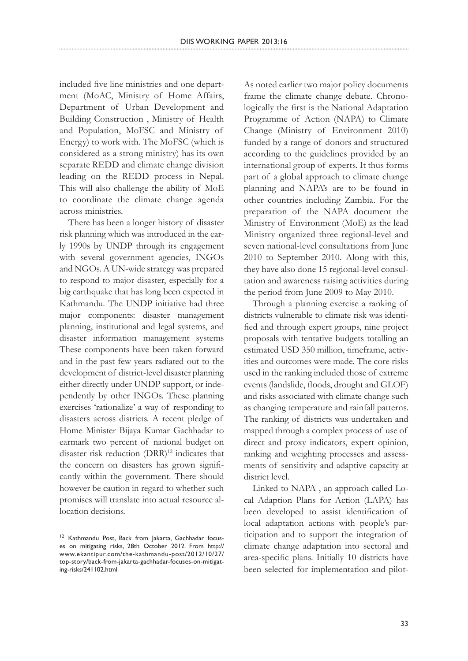included five line ministries and one department (MoAC, Ministry of Home Affairs, Department of Urban Development and Building Construction , Ministry of Health and Population, MoFSC and Ministry of Energy) to work with. The MoFSC (which is considered as a strong ministry) has its own separate REDD and climate change division leading on the REDD process in Nepal. This will also challenge the ability of MoE to coordinate the climate change agenda across ministries.

There has been a longer history of disaster risk planning which was introduced in the early 1990s by UNDP through its engagement with several government agencies, INGOs and NGOs. A UN-wide strategy was prepared to respond to major disaster, especially for a big earthquake that has long been expected in Kathmandu. The UNDP initiative had three major components: disaster management planning, institutional and legal systems, and disaster information management systems These components have been taken forward and in the past few years radiated out to the development of district-level disaster planning either directly under UNDP support, or independently by other INGOs. These planning exercises 'rationalize' a way of responding to disasters across districts. A recent pledge of Home Minister Bijaya Kumar Gachhadar to earmark two percent of national budget on disaster risk reduction  $(DRR)^{12}$  indicates that the concern on disasters has grown significantly within the government. There should however be caution in regard to whether such promises will translate into actual resource allocation decisions.

As noted earlier two major policy documents frame the climate change debate. Chronologically the first is the National Adaptation Programme of Action (NAPA) to Climate Change (Ministry of Environment 2010) funded by a range of donors and structured according to the guidelines provided by an international group of experts. It thus forms part of a global approach to climate change planning and NAPA's are to be found in other countries including Zambia. For the preparation of the NAPA document the Ministry of Environment (MoE) as the lead Ministry organized three regional-level and seven national-level consultations from June 2010 to September 2010. Along with this, they have also done 15 regional-level consultation and awareness raising activities during the period from June 2009 to May 2010.

Through a planning exercise a ranking of districts vulnerable to climate risk was identified and through expert groups, nine project proposals with tentative budgets totalling an estimated USD 350 million, timeframe, activities and outcomes were made. The core risks used in the ranking included those of extreme events (landslide, floods, drought and GLOF) and risks associated with climate change such as changing temperature and rainfall patterns. The ranking of districts was undertaken and mapped through a complex process of use of direct and proxy indicators, expert opinion, ranking and weighting processes and assessments of sensitivity and adaptive capacity at district level.

Linked to NAPA , an approach called Local Adaption Plans for Action (LAPA) has been developed to assist identification of local adaptation actions with people's participation and to support the integration of climate change adaptation into sectoral and area-specific plans. Initially 10 districts have been selected for implementation and pilot-

<sup>&</sup>lt;sup>12</sup> Kathmandu Post, Back from lakarta, Gachhadar focuses on mitigating risks, 28th October 2012. From http:// www.ekantipur.com/the-kathmandu-post/2012/10/27/ top-story/back-from-jakarta-gachhadar-focuses-on-mitigating-risks/241102.html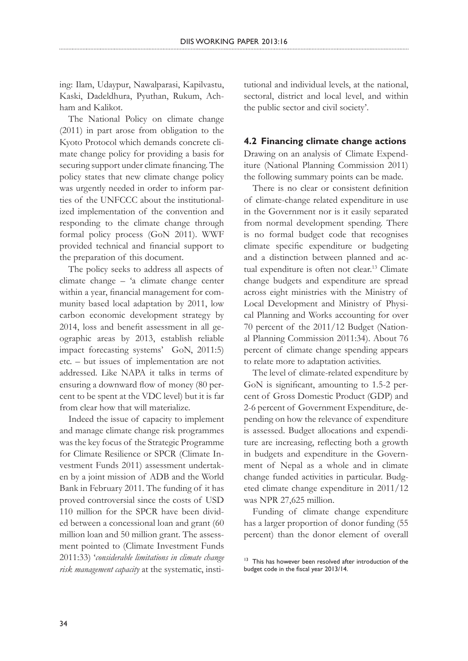ing: Ilam, Udaypur, Nawalparasi, Kapilvastu, Kaski, Dadeldhura, Pyuthan, Rukum, Achham and Kalikot.

The National Policy on climate change (2011) in part arose from obligation to the Kyoto Protocol which demands concrete climate change policy for providing a basis for securing support under climate financing. The policy states that new climate change policy was urgently needed in order to inform parties of the UNFCCC about the institutionalized implementation of the convention and responding to the climate change through formal policy process (GoN 2011). WWF provided technical and financial support to the preparation of this document.

The policy seeks to address all aspects of climate change – 'a climate change center within a year, financial management for community based local adaptation by 2011, low carbon economic development strategy by 2014, loss and benefit assessment in all geographic areas by 2013, establish reliable impact forecasting systems' GoN, 2011:5) etc. – but issues of implementation are not addressed. Like NAPA it talks in terms of ensuring a downward flow of money (80 percent to be spent at the VDC level) but it is far from clear how that will materialize.

Indeed the issue of capacity to implement and manage climate change risk programmes was the key focus of the Strategic Programme for Climate Resilience or SPCR (Climate Investment Funds 2011) assessment undertaken by a joint mission of ADB and the World Bank in February 2011. The funding of it has proved controversial since the costs of USD 110 million for the SPCR have been divided between a concessional loan and grant (60 million loan and 50 million grant. The assessment pointed to (Climate Investment Funds 2011:33) '*considerable limitations in climate change risk management capacity* at the systematic, institutional and individual levels, at the national, sectoral, district and local level, and within the public sector and civil society'.

### **4.2 Financing climate change actions**

Drawing on an analysis of Climate Expenditure (National Planning Commission 2011) the following summary points can be made.

There is no clear or consistent definition of climate-change related expenditure in use in the Government nor is it easily separated from normal development spending. There is no formal budget code that recognises climate specific expenditure or budgeting and a distinction between planned and actual expenditure is often not clear.<sup>13</sup> Climate change budgets and expenditure are spread across eight ministries with the Ministry of Local Development and Ministry of Physical Planning and Works accounting for over 70 percent of the 2011/12 Budget (National Planning Commission 2011:34). About 76 percent of climate change spending appears to relate more to adaptation activities.

The level of climate-related expenditure by GoN is significant, amounting to 1.5-2 percent of Gross Domestic Product (GDP) and 2-6 percent of Government Expenditure, depending on how the relevance of expenditure is assessed. Budget allocations and expenditure are increasing, reflecting both a growth in budgets and expenditure in the Government of Nepal as a whole and in climate change funded activities in particular. Budgeted climate change expenditure in 2011/12 was NPR 27,625 million.

Funding of climate change expenditure has a larger proportion of donor funding (55 percent) than the donor element of overall

<sup>&</sup>lt;sup>13</sup> This has however been resolved after introduction of the budget code in the fiscal year 2013/14.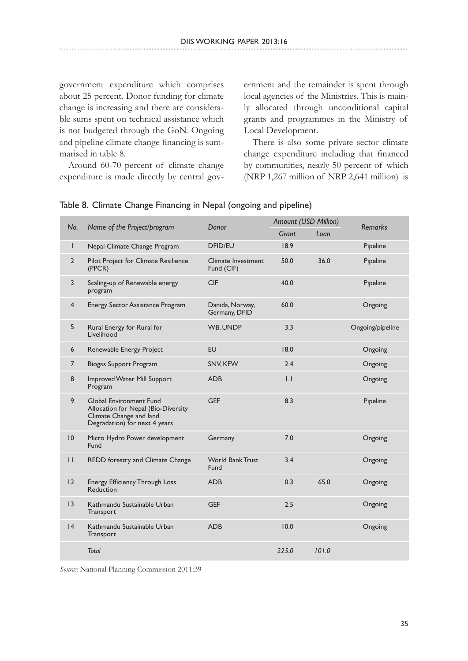government expenditure which comprises about 25 percent. Donor funding for climate change is increasing and there are considerable sums spent on technical assistance which is not budgeted through the GoN. Ongoing and pipeline climate change financing is summarised in table 8.

Around 60-70 percent of climate change expenditure is made directly by central government and the remainder is spent through local agencies of the Ministries. This is mainly allocated through unconditional capital grants and programmes in the Ministry of Local Development.

There is also some private sector climate change expenditure including that financed by communities, nearly 50 percent of which (NRP 1,267 million of NRP 2,641 million) is

| No.            |                                                                                                                                   | Donor                            | Amount (USD Million) |       | <b>Remarks</b>   |
|----------------|-----------------------------------------------------------------------------------------------------------------------------------|----------------------------------|----------------------|-------|------------------|
|                | Name of the Project/program                                                                                                       |                                  | Grant                | Loan  |                  |
| T              | Nepal Climate Change Program                                                                                                      | <b>DFID/EU</b>                   | 18.9                 |       | Pipeline         |
| $\overline{2}$ | Pilot Project for Climate Resilience<br>(PPCR)                                                                                    | Climate Investment<br>Fund (CIF) | 50.0                 | 36.0  | Pipeline         |
| 3              | Scaling-up of Renewable energy<br>program                                                                                         | <b>CIF</b>                       | 40.0                 |       | Pipeline         |
| $\overline{4}$ | Energy Sector Assistance Program                                                                                                  | Danida, Norway,<br>Germany, DFID | 60.0                 |       | Ongoing          |
| 5              | Rural Energy for Rural for<br>Livelihood                                                                                          | WB, UNDP                         | 3.3                  |       | Ongoing/pipeline |
| 6              | Renewable Energy Project                                                                                                          | <b>EU</b>                        | 18.0                 |       | Ongoing          |
| $\overline{7}$ | <b>Biogas Support Program</b>                                                                                                     | SNV, KFW                         | 2.4                  |       | Ongoing          |
| 8              | Improved Water Mill Support<br>Program                                                                                            | <b>ADB</b>                       | $\overline{1}$ .     |       | Ongoing          |
| 9              | <b>Global Environment Fund</b><br>Allocation for Nepal (Bio-Diversity<br>Climate Change and land<br>Degradation) for next 4 years | <b>GEF</b>                       | 8.3                  |       | Pipeline         |
| 10             | Micro Hydro Power development<br>Fund                                                                                             | Germany                          | 7.0                  |       | Ongoing          |
| $\mathbf{H}$   | REDD forestry and Climate Change                                                                                                  | <b>World Bank Trust</b><br>Fund  | 3.4                  |       | Ongoing          |
| 12             | <b>Energy Efficiency Through Loss</b><br><b>Reduction</b>                                                                         | <b>ADB</b>                       | 0.3                  | 65.0  | Ongoing          |
| 3              | Kathmandu Sustainable Urban<br>Transport                                                                                          | <b>GEF</b>                       | 2.5                  |       | Ongoing          |
| 4              | Kathmandu Sustainable Urban<br>Transport                                                                                          | <b>ADB</b>                       | 10.0                 |       | Ongoing          |
|                | <b>Total</b>                                                                                                                      |                                  | 225.0                | 101.0 |                  |

### Table 8. Climate Change Financing in Nepal (ongoing and pipeline)

*Source:* National Planning Commission 2011:39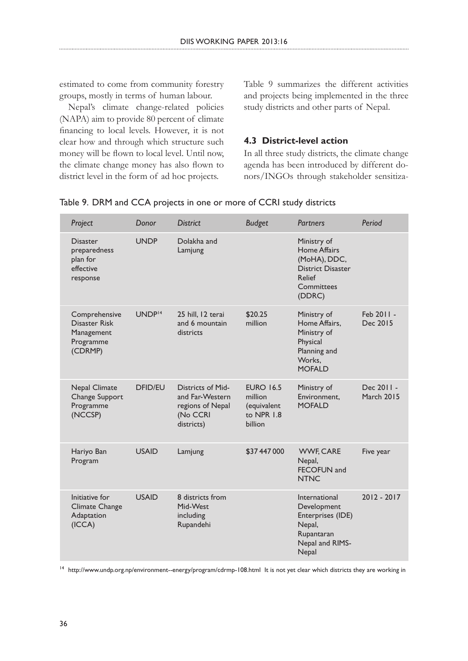estimated to come from community forestry groups, mostly in terms of human labour.

Nepal's climate change-related policies (NAPA) aim to provide 80 percent of climate financing to local levels. However, it is not clear how and through which structure such money will be flown to local level. Until now, the climate change money has also flown to district level in the form of ad hoc projects.

Table 9 summarizes the different activities and projects being implemented in the three study districts and other parts of Nepal.

### **4.3 District-level action**

In all three study districts, the climate change agenda has been introduced by different donors/INGOs through stakeholder sensitiza-

| Project                                                              | Donor              | <b>District</b>                                                                           | <b>Budget</b>                                                       | <b>Partners</b>                                                                                           | Period                          |
|----------------------------------------------------------------------|--------------------|-------------------------------------------------------------------------------------------|---------------------------------------------------------------------|-----------------------------------------------------------------------------------------------------------|---------------------------------|
| <b>Disaster</b><br>preparedness<br>plan for<br>effective<br>response | <b>UNDP</b>        | Dolakha and<br>Lamjung                                                                    |                                                                     | Ministry of<br>Home Affairs<br>(MoHA), DDC,<br><b>District Disaster</b><br>Relief<br>Committees<br>(DDRC) |                                 |
| Comprehensive<br>Disaster Risk<br>Management<br>Programme<br>(CDRMP) | UNDP <sup>14</sup> | 25 hill, 12 terai<br>and 6 mountain<br>districts                                          | \$20.25<br>million                                                  | Ministry of<br>Home Affairs,<br>Ministry of<br>Physical<br>Planning and<br>Works.<br><b>MOFALD</b>        | Feb 2011 -<br>Dec 2015          |
| <b>Nepal Climate</b><br>Change Support<br>Programme<br>(NCCSP)       | <b>DFID/EU</b>     | <b>Districts of Mid-</b><br>and Far-Western<br>regions of Nepal<br>(No CCRI<br>districts) | <b>EURO 16.5</b><br>million<br>(equivalent<br>to NPR 1.8<br>billion | Ministry of<br>Environment,<br><b>MOFALD</b>                                                              | Dec 2011 -<br><b>March 2015</b> |
| Hariyo Ban<br>Program                                                | <b>USAID</b>       | Lamjung                                                                                   | \$37 447 000                                                        | <b>WWF, CARE</b><br>Nepal,<br>FECOFUN and<br><b>NTNC</b>                                                  | Five year                       |
| Initiative for<br>Climate Change<br>Adaptation<br>(ICCA)             | <b>USAID</b>       | 8 districts from<br>Mid-West<br>including<br>Rupandehi                                    |                                                                     | International<br>Development<br>Enterprises (IDE)<br>Nepal,<br>Rupantaran<br>Nepal and RIMS-<br>Nepal     | $2012 - 2017$                   |

Table 9. DRM and CCA projects in one or more of CCRI study districts

<sup>14</sup> http://www.undp.org.np/environment--energy/program/cdrmp-108.html It is not yet clear which districts they are working in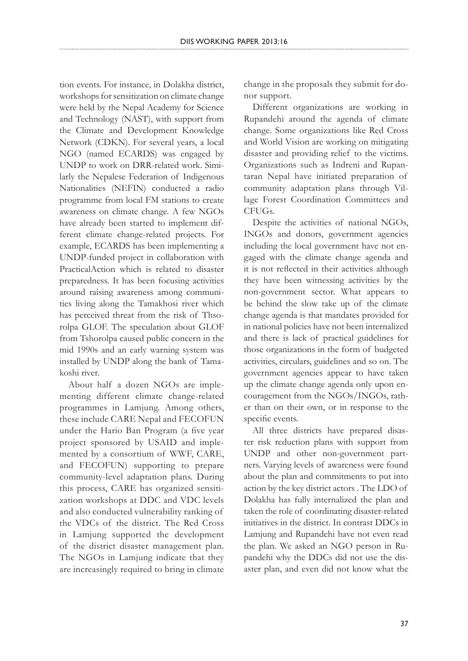tion events. For instance, in Dolakha district, workshops for sensitization on climate change were held by the Nepal Academy for Science and Technology (NAST), with support from the Climate and Development Knowledge Network (CDKN). For several years, a local NGO (named ECARDS) was engaged by UNDP to work on DRR-related work. Similarly the Nepalese Federation of Indigenous Nationalities (NEFIN) conducted a radio programme from local FM stations to create awareness on climate change. A few NGOs have already been started to implement different climate change-related projects. For example, ECARDS has been implementing a UNDP-funded project in collaboration with PracticalAction which is related to disaster preparedness. It has been focusing activities around raising awareness among communities living along the Tamakhosi river which has perceived threat from the risk of Thsorolpa GLOF. The speculation about GLOF from Tshorolpa caused public concern in the mid 1990s and an early warning system was installed by UNDP along the bank of Tamakoshi river.

About half a dozen NGOs are implementing different climate change-related programmes in Lamjung. Among others, these include CARE Nepal and FECOFUN under the Hario Ban Program (a five year project sponsored by USAID and implemented by a consortium of WWF, CARE, and FECOFUN) supporting to prepare community-level adaptation plans. During this process, CARE has organized sensitization workshops at DDC and VDC levels and also conducted vulnerability ranking of the VDCs of the district. The Red Cross in Lamjung supported the development of the district disaster management plan. The NGOs in Lamjung indicate that they are increasingly required to bring in climate

change in the proposals they submit for donor support.

Different organizations are working in Rupandehi around the agenda of climate change. Some organizations like Red Cross and World Vision are working on mitigating disaster and providing relief to the victims. Organizations such as Indreni and Rupantaran Nepal have initiated preparation of community adaptation plans through Village Forest Coordination Committees and CFUGs.

Despite the activities of national NGOs, INGOs and donors, government agencies including the local government have not engaged with the climate change agenda and it is not reflected in their activities although they have been witnessing activities by the non-government sector. What appears to be behind the slow take up of the climate change agenda is that mandates provided for in national policies have not been internalized and there is lack of practical guidelines for those organizations in the form of budgeted activities, circulars, guidelines and so on. The government agencies appear to have taken up the climate change agenda only upon encouragement from the NGOs/INGOs, rather than on their own, or in response to the specific events.

All three districts have prepared disaster risk reduction plans with support from UNDP and other non-government partners. Varying levels of awareness were found about the plan and commitments to put into action by the key district actors . The LDO of Dolakha has fully internalized the plan and taken the role of coordinating disaster-related initiatives in the district. In contrast DDCs in Lamjung and Rupandehi have not even read the plan. We asked an NGO person in Rupandehi why the DDCs did not use the disaster plan, and even did not know what the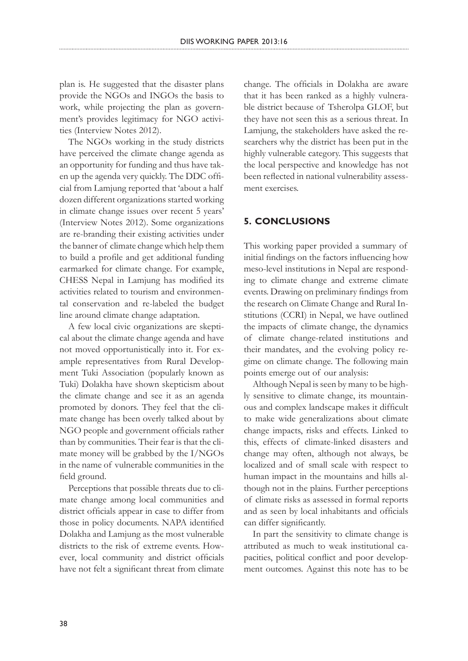plan is. He suggested that the disaster plans provide the NGOs and INGOs the basis to work, while projecting the plan as government's provides legitimacy for NGO activities (Interview Notes 2012).

The NGOs working in the study districts have perceived the climate change agenda as an opportunity for funding and thus have taken up the agenda very quickly. The DDC official from Lamjung reported that 'about a half dozen different organizations started working in climate change issues over recent 5 years' (Interview Notes 2012). Some organizations are re-branding their existing activities under the banner of climate change which help them to build a profile and get additional funding earmarked for climate change. For example, CHESS Nepal in Lamjung has modified its activities related to tourism and environmental conservation and re-labeled the budget line around climate change adaptation.

A few local civic organizations are skeptical about the climate change agenda and have not moved opportunistically into it. For example representatives from Rural Development Tuki Association (popularly known as Tuki) Dolakha have shown skepticism about the climate change and see it as an agenda promoted by donors. They feel that the climate change has been overly talked about by NGO people and government officials rather than by communities. Their fear is that the climate money will be grabbed by the I/NGOs in the name of vulnerable communities in the field ground.

Perceptions that possible threats due to climate change among local communities and district officials appear in case to differ from those in policy documents. NAPA identified Dolakha and Lamjung as the most vulnerable districts to the risk of extreme events. However, local community and district officials have not felt a significant threat from climate

change. The officials in Dolakha are aware that it has been ranked as a highly vulnerable district because of Tsherolpa GLOF, but they have not seen this as a serious threat. In Lamjung, the stakeholders have asked the researchers why the district has been put in the highly vulnerable category. This suggests that the local perspective and knowledge has not been reflected in national vulnerability assessment exercises.

# **5. CONCLUSIONS**

This working paper provided a summary of initial findings on the factors influencing how meso-level institutions in Nepal are responding to climate change and extreme climate events. Drawing on preliminary findings from the research on Climate Change and Rural Institutions (CCRI) in Nepal, we have outlined the impacts of climate change, the dynamics of climate change-related institutions and their mandates, and the evolving policy regime on climate change. The following main points emerge out of our analysis:

Although Nepal is seen by many to be highly sensitive to climate change, its mountainous and complex landscape makes it difficult to make wide generalizations about climate change impacts, risks and effects. Linked to this, effects of climate-linked disasters and change may often, although not always, be localized and of small scale with respect to human impact in the mountains and hills although not in the plains. Further perceptions of climate risks as assessed in formal reports and as seen by local inhabitants and officials can differ significantly.

In part the sensitivity to climate change is attributed as much to weak institutional capacities, political conflict and poor development outcomes. Against this note has to be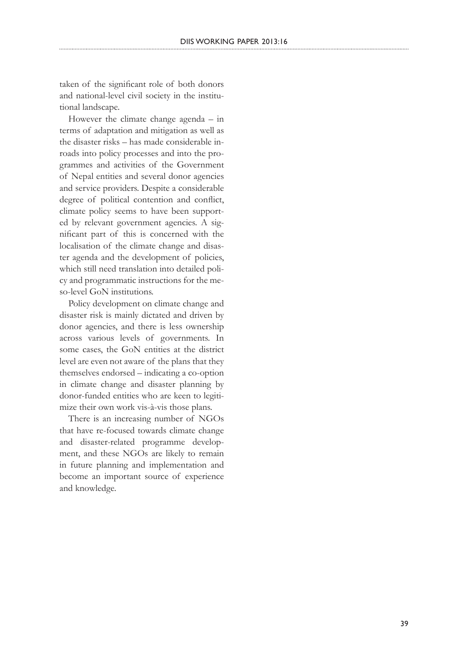taken of the significant role of both donors and national-level civil society in the institu tional landscape.

However the climate change agenda – in terms of adaptation and mitigation as well as the disaster risks – has made considerable in roads into policy processes and into the pro grammes and activities of the Government of Nepal entities and several donor agencies and service providers. Despite a considerable degree of political contention and conflict, climate policy seems to have been support ed by relevant government agencies. A significant part of this is concerned with the localisation of the climate change and disas ter agenda and the development of policies, which still need translation into detailed policy and programmatic instructions for the me so-level GoN institutions.

Policy development on climate change and disaster risk is mainly dictated and driven by donor agencies, and there is less ownership across various levels of governments. In some cases, the GoN entities at the district level are even not aware of the plans that they themselves endorsed – indicating a co-option in climate change and disaster planning by donor-funded entities who are keen to legiti mize their own work vis-à-vis those plans.

There is an increasing number of NGOs that have re-focused towards climate change and disaster-related programme develop ment, and these NGOs are likely to remain in future planning and implementation and become an important source of experience and knowledge.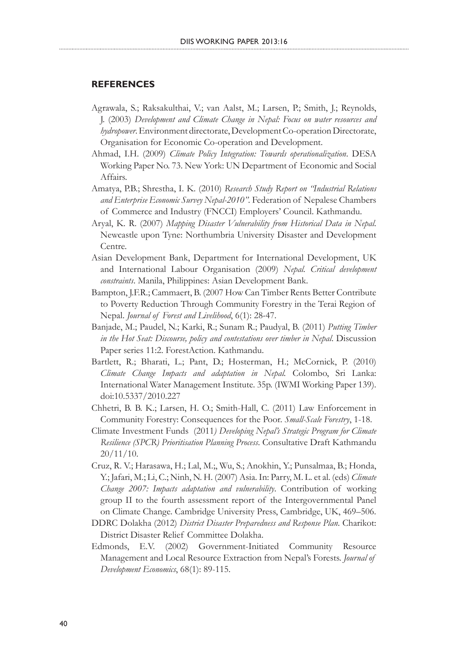### **REFERENCES**

- Agrawala, S.; Raksakulthai, V.; van Aalst, M.; Larsen, P.; Smith, J.; Reynolds, J. (2003) *Development and Climate Change in Nepal: Focus on water resources and hydropower*. Environment directorate, Development Co-operation Directorate, Organisation for Economic Co-operation and Development.
- Ahmad, I.H. (2009) *Climate Policy Integration: Towards operationalization*. DESA Working Paper No. 73. New York: UN Department of Economic and Social Affairs.
- Amatya, P.B.; Shrestha, I. K. (2010) *Research Study Report on "Industrial Relations and Enterprise Economic Survey Nepal-2010".* Federation of Nepalese Chambers of Commerce and Industry (FNCCI) Employers' Council. Kathmandu.
- Aryal, K. R. (2007) *Mapping Disaster Vulnerability from Historical Data in Nepal*. Newcastle upon Tyne: Northumbria University Disaster and Development Centre.
- Asian Development Bank, Department for International Development, UK and International Labour Organisation (2009) *Nepal. Critical development constraints*. Manila, Philippines: Asian Development Bank.
- Bampton, J.F.R.; Cammaert, B. (2007 How Can Timber Rents Better Contribute to Poverty Reduction Through Community Forestry in the Terai Region of Nepal. *Journal of Forest and Livelihood*, 6(1): 28-47.
- Banjade, M.; Paudel, N.; Karki, R.; Sunam R.; Paudyal, B. (2011) *Putting Timber in the Hot Seat: Discourse, policy and contestations over timber in Nepal*. Discussion Paper series 11:2. ForestAction. Kathmandu.
- Bartlett, R.; Bharati, L.; Pant, D.; Hosterman, H.; McCornick, P. (2010) *Climate Change Impacts and adaptation in Nepal.* Colombo, Sri Lanka: International Water Management Institute. 35p. (IWMI Working Paper 139). doi:10.5337/2010.227
- Chhetri, B. B. K.; Larsen, H. O.; Smith-Hall, C. (2011) Law Enforcement in Community Forestry: Consequences for the Poor. *Small-Scale Forestry*, 1-18.
- Climate Investment Funds (2011*) Developing Nepal's Strategic Program for Climate Resilience (SPCR) Prioritisation Planning Process*. Consultative Draft Kathmandu 20/11/10.
- Cruz, R. V.; Harasawa, H.; Lal, M.;, Wu, S.; Anokhin, Y.; Punsalmaa, B.; Honda, Y.; Jafari, M.; Li, C.; Ninh, N. H. (2007) Asia. In: Parry, M. L. et al. (eds) *Climate Change 2007: Impacts adaptation and vulnerability*. Contribution of working group II to the fourth assessment report of the Intergovernmental Panel on Climate Change. Cambridge University Press, Cambridge, UK, 469–506.
- DDRC Dolakha (2012) *District Disaster Preparedness and Response Plan*. Charikot: District Disaster Relief Committee Dolakha.
- Edmonds, E.V. (2002) Government-Initiated Community Resource Management and Local Resource Extraction from Nepal's Forests. *Journal of Development Economics*, 68(1): 89-115.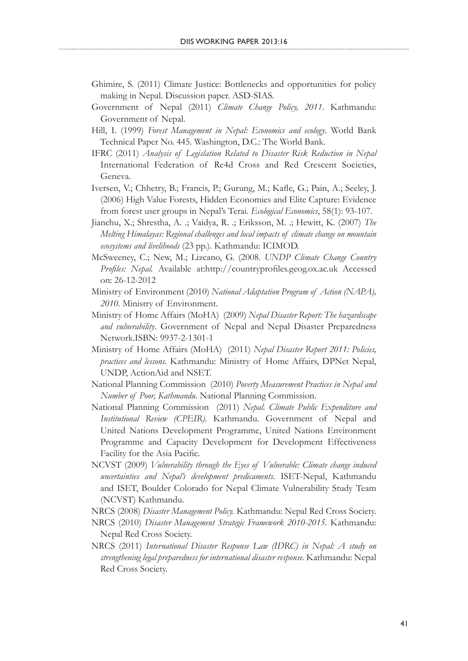- Ghimire, S. (2011) Climate Justice: Bottlenecks and opportunities for policy making in Nepal. Discussion paper. ASD-SIAS.
- Government of Nepal (2011) *Climate Change Policy, 2011*. Kathmandu: Government of Nepal.
- Hill, I. (1999) *Forest Management in Nepal: Economics and ecology*. World Bank Technical Paper No. 445. Washington, D.C.: The World Bank.
- IFRC (2011) *Analysis of Legislation Related to Disaster Risk Reduction in Nepal* International Federation of Re4d Cross and Red Crescent Societies, Geneva.
- Iversen, V.; Chhetry, B.; Francis, P.; Gurung, M.; Kafle, G.; Pain, A.; Seeley, J. (2006) High Value Forests, Hidden Economies and Elite Capture: Evidence from forest user groups in Nepal's Terai. *Ecological Economics*, 58(1): 93-107.
- Jianchu, X.; Shrestha, A. .; Vaidya, R. .; Eriksson, M. .; Hewitt, K. (2007) *The Melting Himalayas: Regional challenges and local impacts of climate change on mountain ecosystems and livelihoods* (23 pp.). Kathmandu: ICIMOD.
- McSweeney, C.; New, M.; Lizcano, G. (2008. *UNDP Climate Change Country Profiles: Nepal.* Available at:http://countryprofiles.geog.ox.ac.uk Accessed on: 26-12-2012
- Ministry of Environment (2010) *National Adaptation Program of Action (NAPA), 2010*. Ministry of Environment.
- Ministry of Home Affairs (MoHA) (2009) *Nepal Disaster Report: The hazardscape and vulnerability*. Government of Nepal and Nepal Disaster Preparedness Network.ISBN: 9937-2-1301-1
- Ministry of Home Affairs (MoHA) (2011) *Nepal Disaster Report 2011: Policies, practices and lessons.* Kathmandu: Ministry of Home Affairs, DPNet Nepal, UNDP, ActionAid and NSET.
- National Planning Commission (2010) *Poverty Measurement Practices in Nepal and Number of Poor, Kathmandu*. National Planning Commission.
- National Planning Commission (2011) *Nepal. Climate Public Expenditure and Institutional Review (CPEIR)*. Kathmandu. Government of Nepal and United Nations Development Programme, United Nations Environment Programme and Capacity Development for Development Effectiveness Facility for the Asia Pacific.
- NCVST (2009) *Vulnerability through the Eyes of Vulnerable: Climate change induced uncertainties and Nepal's development predicaments*. ISET-Nepal, Kathmandu and ISET, Boulder Colorado for Nepal Climate Vulnerability Study Team (NCVST) Kathmandu.
- NRCS (2008) *Disaster Management Policy.* Kathmandu: Nepal Red Cross Society.
- NRCS (2010) *Disaster Management Strategic Framework 2010-2015.* Kathmandu: Nepal Red Cross Society.
- NRCS (2011) *International Disaster Response Law (IDRC) in Nepal: A study on strengthening legal preparedness for international disaster response.* Kathmandu: Nepal Red Cross Society.